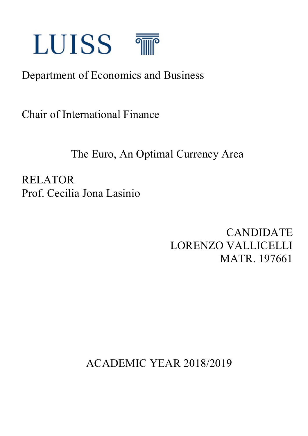

# Department of Economics and Business

Chair of International Finance

The Euro, An Optimal Currency Area

RELATOR Prof. Cecilia Jona Lasinio

> CANDIDATE LORENZO VALLICELLI MATR. 197661

ACADEMIC YEAR 2018/2019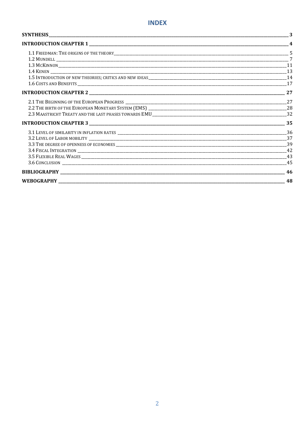| $\boldsymbol{4}$ |
|------------------|
|                  |
|                  |
|                  |
|                  |
|                  |
|                  |
|                  |
| 27               |
|                  |
|                  |
|                  |
|                  |
| 37               |
|                  |
|                  |
|                  |
| 45               |
| 46               |
| 48               |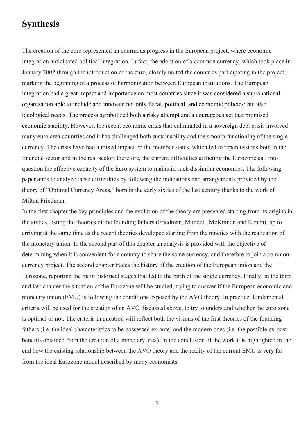# **Synthesis**

The creation of the euro represented an enormous progress in the European project, where economic integration anticipated political integration. In fact, the adoption of a common currency, which took place in January 2002 through the introduction of the euro, closely united the countries participating in the project, marking the beginning of a process of harmonization between European institutions. The European integration had a great impact and importance on most countries since it was considered a supranational organization able to include and innovate not only fiscal, political, and economic policies; but also ideological needs. The process symbolized both a risky attempt and a courageous act that promised economic stability. However, the recent economic crisis that culminated in a sovereign debt crisis involved many euro area countries and it has challenged both sustainability and the smooth functioning of the single currency. The crisis have had a mixed impact on the member states, which led to repercussions both in the financial sector and in the real sector; therefore, the current difficulties afflicting the Eurozone call into question the effective capacity of the Euro system to maintain such dissimilar economies. The following paper aims to analyze these difficulties by following the indications and arrangements provided by the theory of "Optimal Currency Areas," born in the early sixties of the last century thanks to the work of Milton Friedman.

In the first chapter the key principles and the evolution of the theory are presented starting from its origins in the sixties, listing the theories of the founding fathers (Friedman, Mundell, McKinnon and Kenen), up to arriving at the same time as the recent theories developed starting from the nineties with the realization of the monetary union. In the second part of this chapter an analysis is provided with the objective of determining when it is convenient for a country to share the same currency, and therefore to join a common currency project. The second chapter traces the history of the creation of the European union and the Eurozone, reporting the main historical stages that led to the birth of the single currency. Finally, in the third and last chapter the situation of the Eurozone will be studied, trying to answer if the European economic and monetary union (EMU) is following the conditions exposed by the AVO theory. In practice, fundamental criteria will be used for the creation of an AVO discussed above, to try to understand whether the euro zone is optimal or not. The criteria in question will reflect both the visions of the first theories of the founding fathers (i.e. the ideal characteristics to be possessed ex-ante) and the modern ones (i.e. the possible ex-post benefits obtained from the creation of a monetary area). In the conclusion of the work it is highlighted in the end how the existing relationship between the AVO theory and the reality of the current EMU is very far from the ideal Eurozone model described by many economists.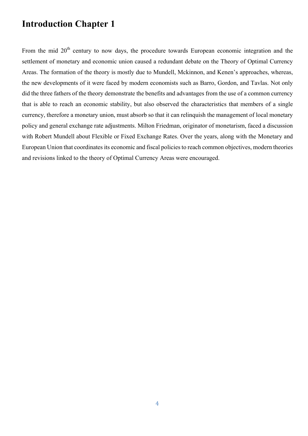# **Introduction Chapter 1**

From the mid  $20<sup>th</sup>$  century to now days, the procedure towards European economic integration and the settlement of monetary and economic union caused a redundant debate on the Theory of Optimal Currency Areas. The formation of the theory is mostly due to Mundell, Mckinnon, and Kenen's approaches, whereas, the new developments of it were faced by modern economists such as Barro, Gordon, and Tavlas. Not only did the three fathers of the theory demonstrate the benefits and advantages from the use of a common currency that is able to reach an economic stability, but also observed the characteristics that members of a single currency, therefore a monetary union, must absorb so that it can relinquish the management of local monetary policy and general exchange rate adjustments. Milton Friedman, originator of monetarism, faced a discussion with Robert Mundell about Flexible or Fixed Exchange Rates. Over the years, along with the Monetary and European Union that coordinates its economic and fiscal policies to reach common objectives, modern theories and revisions linked to the theory of Optimal Currency Areas were encouraged.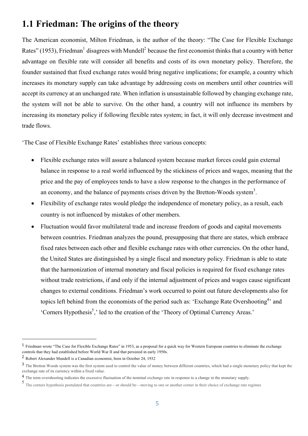### **1.1 Friedman: The origins of the theory**

The American economist, Milton Friedman, is the author of the theory: "The Case for Flexible Exchange Rates" (1953), Friedman<sup>1</sup> disagrees with Mundell<sup>2</sup> because the first economist thinks that a country with better advantage on flexible rate will consider all benefits and costs of its own monetary policy. Therefore, the founder sustained that fixed exchange rates would bring negative implications; for example, a country which increases its monetary supply can take advantage by addressing costs on members until other countries will accept its currency at an unchanged rate. When inflation is unsustainable followed by changing exchange rate, the system will not be able to survive. On the other hand, a country will not influence its members by increasing its monetary policy if following flexible rates system; in fact, it will only decrease investment and trade flows.

'The Case of Flexible Exchange Rates' establishes three various concepts:

- Flexible exchange rates will assure a balanced system because market forces could gain external balance in response to a real world influenced by the stickiness of prices and wages, meaning that the price and the pay of employees tends to have a slow response to the changes in the performance of an economy, and the balance of payments crises driven by the Bretton-Woods system<sup>3</sup>.
- Flexibility of exchange rates would pledge the independence of monetary policy, as a result, each country is not influenced by mistakes of other members.
- Fluctuation would favor multilateral trade and increase freedom of goods and capital movements between countries. Friedman analyzes the pound, presupposing that there are states, which embrace fixed rates between each other and flexible exchange rates with other currencies. On the other hand, the United States are distinguished by a single fiscal and monetary policy. Friedman is able to state that the harmonization of internal monetary and fiscal policies is required for fixed exchange rates without trade restrictions, if and only if the internal adjustment of prices and wages cause significant changes to external conditions. Friedman's work occurred to point out future developments also for topics left behind from the economists of the period such as: 'Exchange Rate Overshooting<sup>4</sup>' and 'Corners Hypothesis<sup>5</sup>,' led to the creation of the 'Theory of Optimal Currency Areas.'

<sup>&</sup>lt;sup>1</sup> Friedman wrote "The Case for Flexible Exchange Rates" in 1953, as a proposal for a quick way for Western European countries to eliminate the exchange controls that they had established before World War II and that persisted in early 1950s.

<sup>2</sup> Robert Alexander Mundell is a Canadian economist, born in October 24, 1932

<sup>&</sup>lt;sup>3</sup> The Bretton Woods system was the first system used to control the value of money between different countries, which had a single monetary policy that kept the exchange rate of its currency within a fixed value.

<sup>4</sup> The term overshooting indicates the excessive fluctuation of the nominal exchange rate in response to a change in the monetary supply.

<sup>5</sup> The corners hypothesis postulated that countries are—or should be—moving to one or another corner in their choice of exchange rate regimes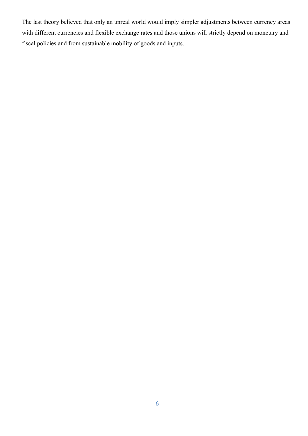The last theory believed that only an unreal world would imply simpler adjustments between currency areas with different currencies and flexible exchange rates and those unions will strictly depend on monetary and fiscal policies and from sustainable mobility of goods and inputs.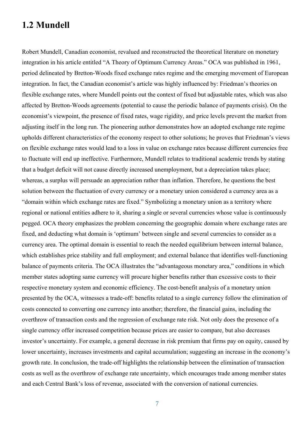### **1.2 Mundell**

Robert Mundell, Canadian economist, revalued and reconstructed the theoretical literature on monetary integration in his article entitled "A Theory of Optimum Currency Areas." OCA was published in 1961, period delineated by Bretton-Woods fixed exchange rates regime and the emerging movement of European integration. In fact, the Canadian economist's article was highly influenced by: Friedman's theories on flexible exchange rates, where Mundell points out the context of fixed but adjustable rates, which was also affected by Bretton-Woods agreements (potential to cause the periodic balance of payments crisis). On the economist's viewpoint, the presence of fixed rates, wage rigidity, and price levels prevent the market from adjusting itself in the long run. The pioneering author demonstrates how an adopted exchange rate regime upholds different characteristics of the economy respect to other solutions; he proves that Friedman's views on flexible exchange rates would lead to a loss in value on exchange rates because different currencies free to fluctuate will end up ineffective. Furthermore, Mundell relates to traditional academic trends by stating that a budget deficit will not cause directly increased unemployment, but a depreciation takes place; whereas, a surplus will persuade an appreciation rather than inflation. Therefore, he questions the best solution between the fluctuation of every currency or a monetary union considered a currency area as a "domain within which exchange rates are fixed." Symbolizing a monetary union as a territory where regional or national entities adhere to it, sharing a single or several currencies whose value is continuously pegged. OCA theory emphasizes the problem concerning the geographic domain where exchange rates are fixed, and deducting what domain is 'optimum' between single and several currencies to consider as a currency area. The optimal domain is essential to reach the needed equilibrium between internal balance, which establishes price stability and full employment; and external balance that identifies well-functioning balance of payments criteria. The OCA illustrates the "advantageous monetary area," conditions in which member states adopting same currency will procure higher benefits rather than excessive costs to their respective monetary system and economic efficiency. The cost-benefit analysis of a monetary union presented by the OCA, witnesses a trade-off: benefits related to a single currency follow the elimination of costs connected to converting one currency into another; therefore, the financial gains, including the overthrow of transaction costs and the regression of exchange rate risk. Not only does the presence of a single currency offer increased competition because prices are easier to compare, but also decreases investor's uncertainty. For example, a general decrease in risk premium that firms pay on equity, caused by lower uncertainty, increases investments and capital accumulation; suggesting an increase in the economy's growth rate. In conclusion, the trade-off highlights the relationship between the elimination of transaction costs as well as the overthrow of exchange rate uncertainty, which encourages trade among member states and each Central Bank's loss of revenue, associated with the conversion of national currencies.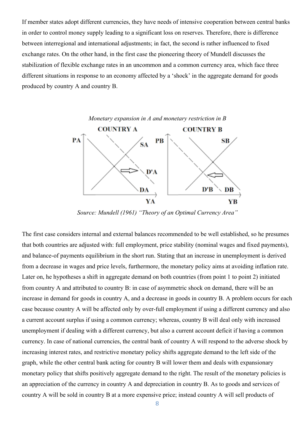If member states adopt different currencies, they have needs of intensive cooperation between central banks in order to control money supply leading to a significant loss on reserves. Therefore, there is difference between interregional and international adjustments; in fact, the second is rather influenced to fixed exchange rates. On the other hand, in the first case the pioneering theory of Mundell discusses the stabilization of flexible exchange rates in an uncommon and a common currency area, which face three different situations in response to an economy affected by a 'shock' in the aggregate demand for goods produced by country A and country B.



*Source: Mundell (1961) "Theory of an Optimal Currency Area"*

The first case considers internal and external balances recommended to be well established, so he presumes that both countries are adjusted with: full employment, price stability (nominal wages and fixed payments), and balance-of payments equilibrium in the short run. Stating that an increase in unemployment is derived from a decrease in wages and price levels, furthermore, the monetary policy aims at avoiding inflation rate. Later on, he hypotheses a shift in aggregate demand on both countries (from point 1 to point 2) initiated from country A and attributed to country B: in case of asymmetric shock on demand, there will be an increase in demand for goods in country A, and a decrease in goods in country B. A problem occurs for each case because country A will be affected only by over-full employment if using a different currency and also a current account surplus if using a common currency; whereas, country B will deal only with increased unemployment if dealing with a different currency, but also a current account deficit if having a common currency. In case of national currencies, the central bank of country A will respond to the adverse shock by increasing interest rates, and restrictive monetary policy shifts aggregate demand to the left side of the graph, while the other central bank acting for country B will lower them and deals with expansionary monetary policy that shifts positively aggregate demand to the right. The result of the monetary policies is an appreciation of the currency in country A and depreciation in country B. As to goods and services of country A will be sold in country B at a more expensive price; instead country A will sell products of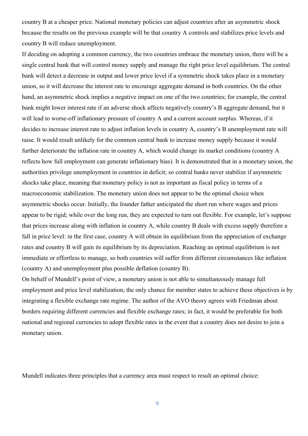country B at a cheaper price. National monetary policies can adjust countries after an asymmetric shock because the results on the previous example will be that country A controls and stabilizes price levels and country B will reduce unemployment.

If deciding on adopting a common currency, the two countries embrace the monetary union, there will be a single central bank that will control money supply and manage the right price level equilibrium. The central bank will detect a decrease in output and lower price level if a symmetric shock takes place in a monetary union, so it will decrease the interest rate to encourage aggregate demand in both countries. On the other hand, an asymmetric shock implies a negative impact on one of the two countries; for example, the central bank might lower interest rate if an adverse shock affects negatively country's B aggregate demand, but it will lead to worse-off inflationary pressure of country A and a current account surplus. Whereas, if it decides to increase interest rate to adjust inflation levels in country A, country's B unemployment rate will raise. It would result unlikely for the common central bank to increase money supply because it would further deteriorate the inflation rate in country A, which would change its market conditions (country A reflects how full employment can generate inflationary bias). It is demonstrated that in a monetary union, the authorities privilege unemployment in countries in deficit; so central banks never stabilize if asymmetric shocks take place, meaning that monetary policy is not as important as fiscal policy in terms of a macroeconomic stabilization. The monetary union does not appear to be the optimal choice when asymmetric shocks occur. Initially, the founder father anticipated the short run where wages and prices appear to be rigid; while over the long run, they are expected to turn out flexible. For example, let's suppose that prices increase along with inflation in country A, while country B deals with excess supply therefore a fall in price level: in the first case, country A will obtain its equilibrium from the appreciation of exchange rates and country B will gain its equilibrium by its depreciation. Reaching an optimal equilibrium is not immediate or effortless to manage, so both countries will suffer from different circumstances like inflation (country A) and unemployment plus possible deflation (country B).

On behalf of Mundell's point of view, a monetary union is not able to simultaneously manage full employment and price level stabilization; the only chance for member states to achieve these objectives is by integrating a flexible exchange rate regime. The author of the AVO theory agrees with Friedman about borders requiring different currencies and flexible exchange rates; in fact, it would be preferable for both national and regional currencies to adopt flexible rates in the event that a country does not desire to join a monetary union.

Mundell indicates three principles that a currency area must respect to result an optimal choice: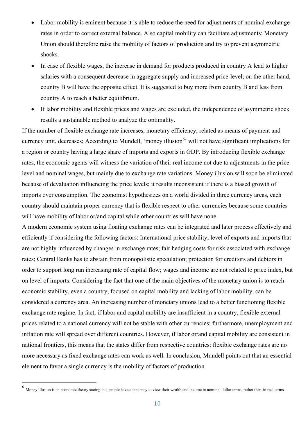- Labor mobility is eminent because it is able to reduce the need for adjustments of nominal exchange rates in order to correct external balance. Also capital mobility can facilitate adjustments; Monetary Union should therefore raise the mobility of factors of production and try to prevent asymmetric shocks.
- In case of flexible wages, the increase in demand for products produced in country A lead to higher salaries with a consequent decrease in aggregate supply and increased price-level; on the other hand, country B will have the opposite effect. It is suggested to buy more from country B and less from country A to reach a better equilibrium.
- If labor mobility and flexible prices and wages are excluded, the independence of asymmetric shock results a sustainable method to analyze the optimality.

If the number of flexible exchange rate increases, monetary efficiency, related as means of payment and currency unit, decreases; According to Mundell, 'money illusion<sup>6</sup>' will not have significant implications for a region or country having a large share of imports and exports in GDP. By introducing flexible exchange rates, the economic agents will witness the variation of their real income not due to adjustments in the price level and nominal wages, but mainly due to exchange rate variations. Money illusion will soon be eliminated because of devaluation influencing the price levels; it results inconsistent if there is a biased growth of imports over consumption. The economist hypothesizes on a world divided in three currency areas, each country should maintain proper currency that is flexible respect to other currencies because some countries will have mobility of labor or/and capital while other countries will have none.

A modern economic system using floating exchange rates can be integrated and later process effectively and efficiently if considering the following factors: International price stability; level of exports and imports that are not highly influenced by changes in exchange rates; fair hedging costs for risk associated with exchange rates; Central Banks has to abstain from monopolistic speculation; protection for creditors and debtors in order to support long run increasing rate of capital flow; wages and income are not related to price index, but on level of imports. Considering the fact that one of the main objectives of the monetary union is to reach economic stability, even a country, focused on capital mobility and lacking of labor mobility, can be considered a currency area. An increasing number of monetary unions lead to a better functioning flexible exchange rate regime. In fact, if labor and capital mobility are insufficient in a country, flexible external prices related to a national currency will not be stable with other currencies; furthermore, unemployment and inflation rate will spread over different countries. However, if labor or/and capital mobility are consistent in national frontiers, this means that the states differ from respective countries: flexible exchange rates are no more necessary as fixed exchange rates can work as well. In conclusion, Mundell points out that an essential element to favor a single currency is the mobility of factors of production.

 <sup>6</sup> Money illusion is an economic theory stating that people have a tendency to view their wealth and income in nominal dollar terms, rather than in real terms.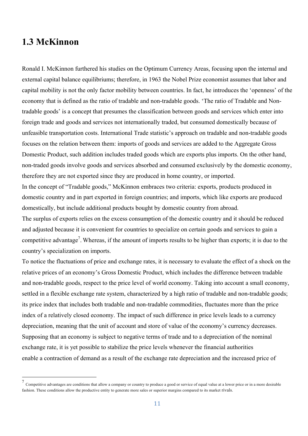#### **1.3 McKinnon**

Ronald I. McKinnon furthered his studies on the Optimum Currency Areas, focusing upon the internal and external capital balance equilibriums; therefore, in 1963 the Nobel Prize economist assumes that labor and capital mobility is not the only factor mobility between countries. In fact, he introduces the 'openness' of the economy that is defined as the ratio of tradable and non-tradable goods. 'The ratio of Tradable and Nontradable goods' is a concept that presumes the classification between goods and services which enter into foreign trade and goods and services not internationally traded, but consumed domestically because of unfeasible transportation costs. International Trade statistic's approach on tradable and non-tradable goods focuses on the relation between them: imports of goods and services are added to the Aggregate Gross Domestic Product, such addition includes traded goods which are exports plus imports. On the other hand, non-traded goods involve goods and services absorbed and consumed exclusively by the domestic economy, therefore they are not exported since they are produced in home country, or imported. In the concept of "Tradable goods," McKinnon embraces two criteria: exports, products produced in

domestic country and in part exported in foreign countries; and imports, which like exports are produced domestically, but include additional products bought by domestic country from abroad.

The surplus of exports relies on the excess consumption of the domestic country and it should be reduced and adjusted because it is convenient for countries to specialize on certain goods and services to gain a competitive advantage<sup>7</sup>. Whereas, if the amount of imports results to be higher than exports; it is due to the country's specialization on imports.

To notice the fluctuations of price and exchange rates, it is necessary to evaluate the effect of a shock on the relative prices of an economy's Gross Domestic Product, which includes the difference between tradable and non-tradable goods, respect to the price level of world economy. Taking into account a small economy, settled in a flexible exchange rate system, characterized by a high ratio of tradable and non-tradable goods; its price index that includes both tradable and non-tradable commodities, fluctuates more than the price index of a relatively closed economy. The impact of such difference in price levels leads to a currency depreciation, meaning that the unit of account and store of value of the economy's currency decreases. Supposing that an economy is subject to negative terms of trade and to a depreciation of the nominal exchange rate, it is yet possible to stabilize the price levels whenever the financial authorities enable a contraction of demand as a result of the exchange rate depreciation and the increased price of

<sup>&</sup>lt;sup>7</sup> Competitive advantages are conditions that allow a company or country to produce a good or service of equal value at a lower price or in a more desirable fashion. These conditions allow the productive entity to generate more sales or superior margins compared to its market rivals.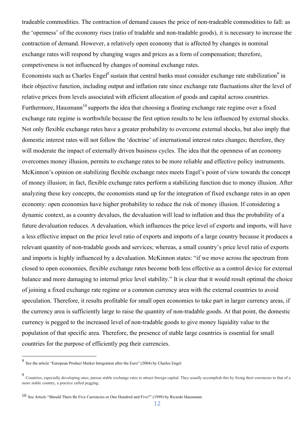tradeable commodities. The contraction of demand causes the price of non-tradeable commodities to fall: as the 'openness' of the economy rises (ratio of tradable and non-tradable goods), it is necessary to increase the contraction of demand. However, a relatively open economy that is affected by changes in nominal exchange rates will respond by changing wages and prices as a form of compensation; therefore, competiveness is not influenced by changes of nominal exchange rates.

Economists such as Charles Engel<sup>8</sup> sustain that central banks must consider exchange rate stabilization<sup>9</sup> in their objective function, including output and inflation rate since exchange rate fluctuations alter the level of relative prices from levels associated with efficient allocation of goods and capital across countries. Furthermore. Hausmann<sup>10</sup> supports the idea that choosing a floating exchange rate regime over a fixed exchange rate regime is worthwhile because the first option results to be less influenced by external shocks. Not only flexible exchange rates have a greater probability to overcome external shocks, but also imply that domestic interest rates will not follow the 'doctrine' of international interest rates changes; therefore, they will moderate the impact of externally driven business cycles. The idea that the openness of an economy overcomes money illusion, permits to exchange rates to be more reliable and effective policy instruments. McKinnon's opinion on stabilizing flexible exchange rates meets Engel's point of view towards the concept of money illusion; in fact, flexible exchange rates perform a stabilizing function due to money illusion. After analyzing these key concepts, the economists stand up for the integration of fixed exchange rates in an open economy: open economies have higher probability to reduce the risk of money illusion. If considering a dynamic context, as a country devalues, the devaluation will lead to inflation and thus the probability of a future devaluation reduces. A devaluation, which influences the price level of exports and imports, will have a less effective impact on the price level ratio of exports and imports of a large country because it produces a relevant quantity of non-tradable goods and services; whereas, a small country's price level ratio of exports and imports is highly influenced by a devaluation. McKinnon states: "if we move across the spectrum from closed to open economies, flexible exchange rates become both less effective as a control device for external balance and more damaging to internal price level stability." It is clear that it would result optimal the choice of joining a fixed exchange rate regime or a common currency area with the external countries to avoid speculation. Therefore, it results profitable for small open economies to take part in larger currency areas, if the currency area is sufficiently large to raise the quantity of non-tradable goods. At that point, the domestic currency is pegged to the increased level of non-tradable goods to give money liquidity value to the population of that specific area. Therefore, the presence of stable large countries is essential for small countries for the purpose of efficiently peg their currencies.

 <sup>8</sup> See the article "European Product Market Integration after the Euro" (2004) by Charles Engel

<sup>9</sup> Countries, especially developing ones, pursue stable exchange rates to attract foreign capital. They usually accomplish this by fixing their currencies to that of a more stable country, a practice called pegging.

<sup>10</sup> See Article "Should There Be Five Currencies or One Hundred and Five?" (1999) by Ricardo Hausmann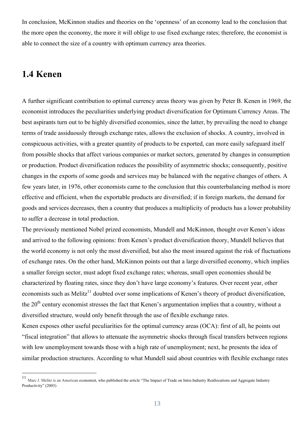In conclusion, McKinnon studies and theories on the 'openness' of an economy lead to the conclusion that the more open the economy, the more it will oblige to use fixed exchange rates; therefore, the economist is able to connect the size of a country with optimum currency area theories.

# **1.4 Kenen**

A further significant contribution to optimal currency areas theory was given by Peter B. Kenen in 1969, the economist introduces the peculiarities underlying product diversification for Optimum Currency Areas. The best aspirants turn out to be highly diversified economies, since the latter, by prevailing the need to change terms of trade assiduously through exchange rates, allows the exclusion of shocks. A country, involved in conspicuous activities, with a greater quantity of products to be exported, can more easily safeguard itself from possible shocks that affect various companies or market sectors, generated by changes in consumption or production. Product diversification reduces the possibility of asymmetric shocks; consequently, positive changes in the exports of some goods and services may be balanced with the negative changes of others. A few years later, in 1976, other economists came to the conclusion that this counterbalancing method is more effective and efficient, when the exportable products are diversified; if in foreign markets, the demand for goods and services decreases, then a country that produces a multiplicity of products has a lower probability to suffer a decrease in total production.

The previously mentioned Nobel prized economists, Mundell and McKinnon, thought over Kenen's ideas and arrived to the following opinions: from Kenen's product diversification theory, Mundell believes that the world economy is not only the most diversified, but also the most insured against the risk of fluctuations of exchange rates. On the other hand, McKinnon points out that a large diversified economy, which implies a smaller foreign sector, must adopt fixed exchange rates; whereas, small open economies should be characterized by floating rates, since they don't have large economy's features. Over recent year, other economists such as Melitz<sup>11</sup> doubted over some implications of Kenen's theory of product diversification, the  $20<sup>th</sup>$  century economist stresses the fact that Kenen's argumentation implies that a country, without a diversified structure, would only benefit through the use of flexible exchange rates.

Kenen exposes other useful peculiarities for the optimal currency areas (OCA): first of all, he points out "fiscal integration" that allows to attenuate the asymmetric shocks through fiscal transfers between regions with low unemployment towards those with a high rate of unemployment; next, he presents the idea of similar production structures. According to what Mundell said about countries with flexible exchange rates

 <sup>11</sup> Marc J. Melitz is an American economist, who published the article "The Impact of Trade on Intra-Industry Reallocations and Aggregate Industry Productivity" (2003)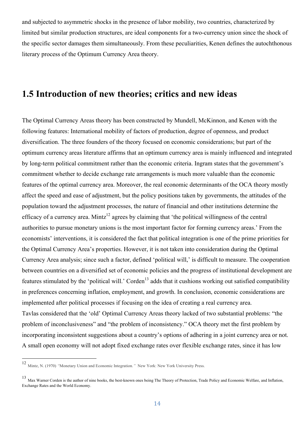and subjected to asymmetric shocks in the presence of labor mobility, two countries, characterized by limited but similar production structures, are ideal components for a two-currency union since the shock of the specific sector damages them simultaneously. From these peculiarities, Kenen defines the autochthonous literary process of the Optimum Currency Area theory.

#### **1.5 Introduction of new theories; critics and new ideas**

The Optimal Currency Areas theory has been constructed by Mundell, McKinnon, and Kenen with the following features: International mobility of factors of production, degree of openness, and product diversification. The three founders of the theory focused on economic considerations; but part of the optimum currency areas literature affirms that an optimum currency area is mainly influenced and integrated by long-term political commitment rather than the economic criteria. Ingram states that the government's commitment whether to decide exchange rate arrangements is much more valuable than the economic features of the optimal currency area. Moreover, the real economic determinants of the OCA theory mostly affect the speed and ease of adjustment, but the policy positions taken by governments, the attitudes of the population toward the adjustment processes, the nature of financial and other institutions determine the efficacy of a currency area. Mintz<sup>12</sup> agrees by claiming that 'the political willingness of the central authorities to pursue monetary unions is the most important factor for forming currency areas.' From the economists' interventions, it is considered the fact that political integration is one of the prime priorities for the Optimal Currency Area's properties. However, it is not taken into consideration during the Optimal Currency Area analysis; since such a factor, defined 'political will,' is difficult to measure. The cooperation between countries on a diversified set of economic policies and the progress of institutional development are features stimulated by the 'political will.' Corden<sup>13</sup> adds that it cushions working out satisfied compatibility in preferences concerning inflation, employment, and growth. In conclusion, economic considerations are implemented after political processes if focusing on the idea of creating a real currency area. Tavlas considered that the 'old' Optimal Currency Areas theory lacked of two substantial problems: "the problem of inconclusiveness" and "the problem of inconsistency." OCA theory met the first problem by incorporating inconsistent suggestions about a country's options of adhering in a joint currency area or not. A small open economy will not adopt fixed exchange rates over flexible exchange rates, since it has low

 <sup>12</sup> Mintz, N. (1970) *"*Monetary Union and Economic Integration*."* New York: New York University Press.

<sup>13</sup> Max Warner Corden is the author of nine books, the best-known ones being The Theory of Protection, Trade Policy and Economic Welfare, and Inflation, Exchange Rates and the World Economy.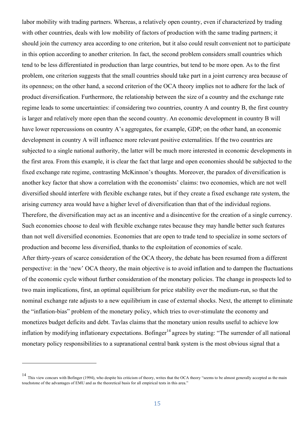labor mobility with trading partners. Whereas, a relatively open country, even if characterized by trading with other countries, deals with low mobility of factors of production with the same trading partners; it should join the currency area according to one criterion, but it also could result convenient not to participate in this option according to another criterion. In fact, the second problem considers small countries which tend to be less differentiated in production than large countries, but tend to be more open. As to the first problem, one criterion suggests that the small countries should take part in a joint currency area because of its openness; on the other hand, a second criterion of the OCA theory implies not to adhere for the lack of product diversification. Furthermore, the relationship between the size of a country and the exchange rate regime leads to some uncertainties: if considering two countries, country A and country B, the first country is larger and relatively more open than the second country. An economic development in country B will have lower repercussions on country A's aggregates, for example, GDP; on the other hand, an economic development in country A will influence more relevant positive externalities. If the two countries are subjected to a single national authority, the latter will be much more interested in economic developments in the first area. From this example, it is clear the fact that large and open economies should be subjected to the fixed exchange rate regime, contrasting McKinnon's thoughts. Moreover, the paradox of diversification is another key factor that show a correlation with the economists' claims: two economies, which are not well diversified should interfere with flexible exchange rates, but if they create a fixed exchange rate system, the arising currency area would have a higher level of diversification than that of the individual regions. Therefore, the diversification may act as an incentive and a disincentive for the creation of a single currency. Such economies choose to deal with flexible exchange rates because they may handle better such features than not well diversified economies. Economies that are open to trade tend to specialize in some sectors of production and become less diversified, thanks to the exploitation of economies of scale.

After thirty-years of scarce consideration of the OCA theory, the debate has been resumed from a different perspective: in the 'new' OCA theory, the main objective is to avoid inflation and to dampen the fluctuations of the economic cycle without further consideration of the monetary policies. The change in prospects led to two main implications, first, an optimal equilibrium for price stability over the medium-run, so that the nominal exchange rate adjusts to a new equilibrium in case of external shocks. Next, the attempt to eliminate the "inflation-bias" problem of the monetary policy, which tries to over-stimulate the economy and monetizes budget deficits and debt. Tavlas claims that the monetary union results useful to achieve low inflation by modifying inflationary expectations. Bofinger<sup>14</sup> agrees by stating: "The surrender of all national monetary policy responsibilities to a supranational central bank system is the most obvious signal that a

 $\overline{a}$ 

<sup>14</sup> This view concurs with Bofinger (1994), who despite his criticism of theory, writes that the OCA theory "seems to be almost generally accepted as the main touchstone of the advantages of EMU and as the theoretical basis for all empirical tests in this area."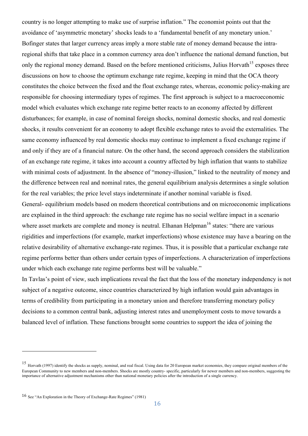country is no longer attempting to make use of surprise inflation." The economist points out that the avoidance of 'asymmetric monetary' shocks leads to a 'fundamental benefit of any monetary union.' Bofinger states that larger currency areas imply a more stable rate of money demand because the intraregional shifts that take place in a common currency area don't influence the national demand function, but only the regional money demand. Based on the before mentioned criticisms, Julius Horvath<sup>15</sup> exposes three discussions on how to choose the optimum exchange rate regime, keeping in mind that the OCA theory constitutes the choice between the fixed and the float exchange rates, whereas, economic policy-making are responsible for choosing intermediary types of regimes. The first approach is subject to a macroeconomic model which evaluates which exchange rate regime better reacts to an economy affected by different disturbances; for example, in case of nominal foreign shocks, nominal domestic shocks, and real domestic shocks, it results convenient for an economy to adopt flexible exchange rates to avoid the externalities. The same economy influenced by real domestic shocks may continue to implement a fixed exchange regime if and only if they are of a financial nature. On the other hand, the second approach considers the stabilization of an exchange rate regime, it takes into account a country affected by high inflation that wants to stabilize with minimal costs of adjustment. In the absence of "money-illusion," linked to the neutrality of money and the difference between real and nominal rates, the general equilibrium analysis determines a single solution for the real variables; the price level stays indeterminate if another nominal variable is fixed. General- equilibrium models based on modern theoretical contributions and on microeconomic implications

are explained in the third approach: the exchange rate regime has no social welfare impact in a scenario where asset markets are complete and money is neutral. Elhanan Helpman<sup>16</sup> states: "there are various rigidities and imperfections (for example, market imperfections) whose existence may have a bearing on the relative desirability of alternative exchange-rate regimes. Thus, it is possible that a particular exchange rate regime performs better than others under certain types of imperfections. A characterization of imperfections under which each exchange rate regime performs best will be valuable."

In Tavlas's point of view, such implications reveal the fact that the loss of the monetary independency is not subject of a negative outcome, since countries characterized by high inflation would gain advantages in terms of credibility from participating in a monetary union and therefore transferring monetary policy decisions to a common central bank, adjusting interest rates and unemployment costs to move towards a balanced level of inflation. These functions brought some countries to support the idea of joining the

 $\overline{a}$ 

<sup>15</sup> Horvath (1997) identify the shocks as supply, nominal, and real fiscal. Using data for 20 European market economies, they compare original members of the European Community to new members and non-members. Shocks are mostly country- specific, particularly for newer members and non-members, suggesting the importance of alternative adjustment mechanisms other than national monetary policies after the introduction of a single currency.

<sup>16</sup> See "An Exploration in the Theory of Exchange-Rate Regimes" (1981)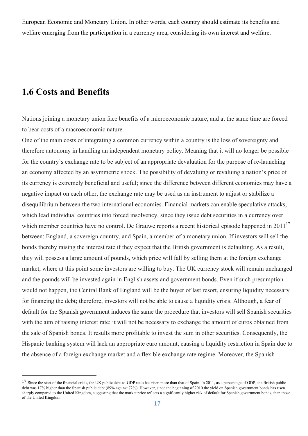European Economic and Monetary Union. In other words, each country should estimate its benefits and welfare emerging from the participation in a currency area, considering its own interest and welfare.

#### **1.6 Costs and Benefits**

 $\overline{a}$ 

Nations joining a monetary union face benefits of a microeconomic nature, and at the same time are forced to bear costs of a macroeconomic nature.

One of the main costs of integrating a common currency within a country is the loss of sovereignty and therefore autonomy in handling an independent monetary policy. Meaning that it will no longer be possible for the country's exchange rate to be subject of an appropriate devaluation for the purpose of re-launching an economy affected by an asymmetric shock. The possibility of devaluing or revaluing a nation's price of its currency is extremely beneficial and useful; since the difference between different economies may have a negative impact on each other, the exchange rate may be used as an instrument to adjust or stabilize a disequilibrium between the two international economies. Financial markets can enable speculative attacks, which lead individual countries into forced insolvency, since they issue debt securities in a currency over which member countries have no control. De Grauwe reports a recent historical episode happened in  $2011^{17}$ between: England, a sovereign country, and Spain, a member of a monetary union. If investors will sell the bonds thereby raising the interest rate if they expect that the British government is defaulting. As a result, they will possess a large amount of pounds, which price will fall by selling them at the foreign exchange market, where at this point some investors are willing to buy. The UK currency stock will remain unchanged and the pounds will be invested again in English assets and government bonds. Even if such presumption would not happen, the Central Bank of England will be the buyer of last resort, ensuring liquidity necessary for financing the debt; therefore, investors will not be able to cause a liquidity crisis. Although, a fear of default for the Spanish government induces the same the procedure that investors will sell Spanish securities with the aim of raising interest rate; it will not be necessary to exchange the amount of euros obtained from the sale of Spanish bonds. It results more profitable to invest the sum in other securities. Consequently, the Hispanic banking system will lack an appropriate euro amount, causing a liquidity restriction in Spain due to the absence of a foreign exchange market and a flexible exchange rate regime. Moreover, the Spanish

<sup>&</sup>lt;sup>17</sup> Since the start of the financial crisis, the UK public debt-to-GDP ratio has risen more than that of Spain. In 2011, as a percentage of GDP, the British public debt was 17% higher than the Spanish public debt (89% against 72%). However, since the beginning of 2010 the yield on Spanish government bonds has risen sharply compared to the United Kingdom, suggesting that the market price reflects a significantly higher risk of default for Spanish government bonds, than those of the United Kingdom.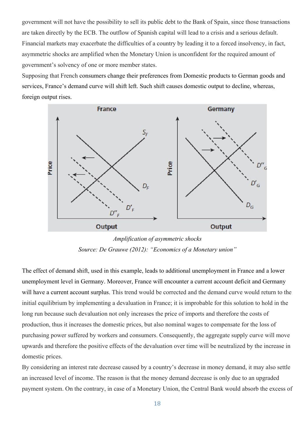government will not have the possibility to sell its public debt to the Bank of Spain, since those transactions are taken directly by the ECB. The outflow of Spanish capital will lead to a crisis and a serious default. Financial markets may exacerbate the difficulties of a country by leading it to a forced insolvency, in fact, asymmetric shocks are amplified when the Monetary Union is unconfident for the required amount of government's solvency of one or more member states.

Supposing that French consumers change their preferences from Domestic products to German goods and services, France's demand curve will shift left. Such shift causes domestic output to decline, whereas, foreign output rises.



*Amplification of asymmetric shocks Source: De Grauwe (2012): "Economics of a Monetary union"*

The effect of demand shift, used in this example, leads to additional unemployment in France and a lower unemployment level in Germany. Moreover, France will encounter a current account deficit and Germany will have a current account surplus. This trend would be corrected and the demand curve would return to the initial equilibrium by implementing a devaluation in France; it is improbable for this solution to hold in the long run because such devaluation not only increases the price of imports and therefore the costs of production, thus it increases the domestic prices, but also nominal wages to compensate for the loss of purchasing power suffered by workers and consumers. Consequently, the aggregate supply curve will move upwards and therefore the positive effects of the devaluation over time will be neutralized by the increase in domestic prices.

By considering an interest rate decrease caused by a country's decrease in money demand, it may also settle an increased level of income. The reason is that the money demand decrease is only due to an upgraded payment system. On the contrary, in case of a Monetary Union, the Central Bank would absorb the excess of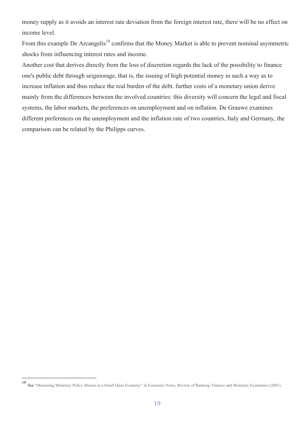money supply as it avoids an interest rate deviation from the foreign interest rate, there will be no effect on income level.

From this example De Arcangelis<sup>18</sup> confirms that the Money Market is able to prevent nominal asymmetric shocks from influencing interest rates and income.

Another cost that derives directly from the loss of discretion regards the lack of the possibility to finance one's public debt through seigniorage, that is, the issuing of high potential money in such a way as to increase inflation and thus reduce the real burden of the debt. further costs of a monetary union derive mainly from the differences between the involved countries: this diversity will concern the legal and fiscal systems, the labor markets, the preferences on unemployment and on inflation. De Grauwe examines different preferences on the unemployment and the inflation rate of two countries, Italy and Germany, the comparison can be related by the Philipps curves.

 <sup>18</sup> See "Measuring Monetary Policy Shocks in a Small Open Economy" in Economic Notes, Review of Banking, Finance and Monetary Economics (2001).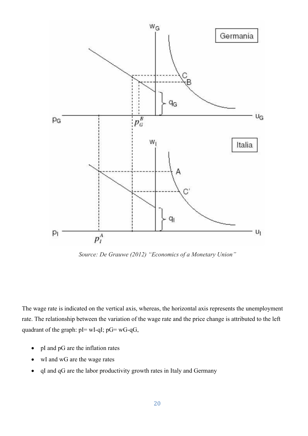

*Source: De Grauwe (2012) "Economics of a Monetary Union"* 

The wage rate is indicated on the vertical axis, whereas, the horizontal axis represents the unemployment rate. The relationship between the variation of the wage rate and the price change is attributed to the left quadrant of the graph:  $pI = wI - qI$ ;  $pG = wG - qG$ ,

- pI and pG are the inflation rates
- wI and wG are the wage rates
- qI and qG are the labor productivity growth rates in Italy and Germany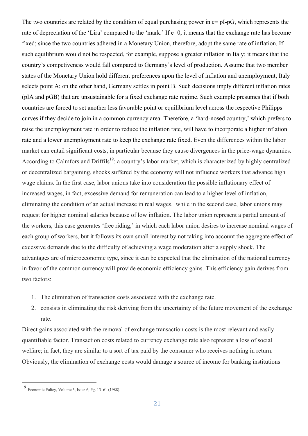The two countries are related by the condition of equal purchasing power in  $e=pI-pG$ , which represents the rate of depreciation of the 'Lira' compared to the 'mark.' If e=0, it means that the exchange rate has become fixed; since the two countries adhered in a Monetary Union, therefore, adopt the same rate of inflation. If such equilibrium would not be respected, for example, suppose a greater inflation in Italy; it means that the country's competiveness would fall compared to Germany's level of production. Assume that two member states of the Monetary Union hold different preferences upon the level of inflation and unemployment, Italy selects point A; on the other hand, Germany settles in point B. Such decisions imply different inflation rates (pIA and pGB) that are unsustainable for a fixed exchange rate regime. Such example presumes that if both countries are forced to set another less favorable point or equilibrium level across the respective Philipps curves if they decide to join in a common currency area. Therefore, a 'hard-nosed country,' which prefers to raise the unemployment rate in order to reduce the inflation rate, will have to incorporate a higher inflation rate and a lower unemployment rate to keep the exchange rate fixed. Even the differences within the labor market can entail significant costs, in particular because they cause divergences in the price-wage dynamics. According to Calmfors and Driffils<sup>19</sup>: a country's labor market, which is characterized by highly centralized or decentralized bargaining, shocks suffered by the economy will not influence workers that advance high wage claims. In the first case, labor unions take into consideration the possible inflationary effect of increased wages, in fact, excessive demand for remuneration can lead to a higher level of inflation, eliminating the condition of an actual increase in real wages. while in the second case, labor unions may request for higher nominal salaries because of low inflation. The labor union represent a partial amount of the workers, this case generates 'free riding,' in which each labor union desires to increase nominal wages of each group of workers, but it follows its own small interest by not taking into account the aggregate effect of excessive demands due to the difficulty of achieving a wage moderation after a supply shock. The advantages are of microeconomic type, since it can be expected that the elimination of the national currency in favor of the common currency will provide economic efficiency gains. This efficiency gain derives from two factors:

- 1. The elimination of transaction costs associated with the exchange rate.
- 2. consists in eliminating the risk deriving from the uncertainty of the future movement of the exchange rate.

Direct gains associated with the removal of exchange transaction costs is the most relevant and easily quantifiable factor. Transaction costs related to currency exchange rate also represent a loss of social welfare; in fact, they are similar to a sort of tax paid by the consumer who receives nothing in return. Obviously, the elimination of exchange costs would damage a source of income for banking institutions

 <sup>19</sup> Economic Policy, Volume 3, Issue 6, Pg. 13–61 (1988).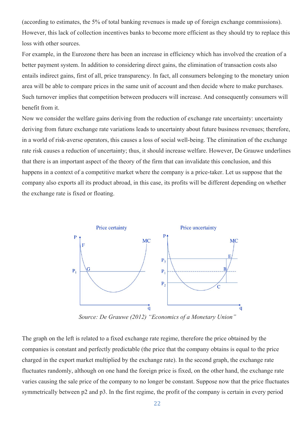(according to estimates, the 5% of total banking revenues is made up of foreign exchange commissions). However, this lack of collection incentives banks to become more efficient as they should try to replace this loss with other sources.

For example, in the Eurozone there has been an increase in efficiency which has involved the creation of a better payment system. In addition to considering direct gains, the elimination of transaction costs also entails indirect gains, first of all, price transparency. In fact, all consumers belonging to the monetary union area will be able to compare prices in the same unit of account and then decide where to make purchases. Such turnover implies that competition between producers will increase. And consequently consumers will benefit from it.

Now we consider the welfare gains deriving from the reduction of exchange rate uncertainty: uncertainty deriving from future exchange rate variations leads to uncertainty about future business revenues; therefore, in a world of risk-averse operators, this causes a loss of social well-being. The elimination of the exchange rate risk causes a reduction of uncertainty; thus, it should increase welfare. However, De Grauwe underlines that there is an important aspect of the theory of the firm that can invalidate this conclusion, and this happens in a context of a competitive market where the company is a price-taker. Let us suppose that the company also exports all its product abroad, in this case, its profits will be different depending on whether the exchange rate is fixed or floating.



*Source: De Grauwe (2012) "Economics of a Monetary Union"*

The graph on the left is related to a fixed exchange rate regime, therefore the price obtained by the companies is constant and perfectly predictable (the price that the company obtains is equal to the price charged in the export market multiplied by the exchange rate). In the second graph, the exchange rate fluctuates randomly, although on one hand the foreign price is fixed, on the other hand, the exchange rate varies causing the sale price of the company to no longer be constant. Suppose now that the price fluctuates symmetrically between p2 and p3. In the first regime, the profit of the company is certain in every period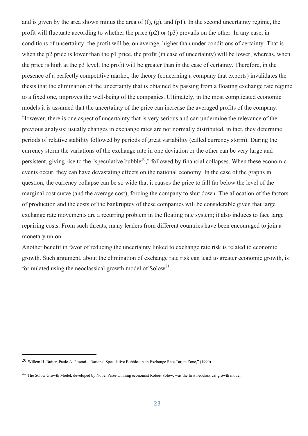and is given by the area shown minus the area of (f), (g), and (p1). In the second uncertainty regime, the profit will fluctuate according to whether the price (p2) or (p3) prevails on the other. In any case, in conditions of uncertainty: the profit will be, on average, higher than under conditions of certainty. That is when the p2 price is lower than the p1 price, the profit (in case of uncertainty) will be lower; whereas, when the price is high at the p3 level, the profit will be greater than in the case of certainty. Therefore, in the presence of a perfectly competitive market, the theory (concerning a company that exports) invalidates the thesis that the elimination of the uncertainty that is obtained by passing from a floating exchange rate regime to a fixed one, improves the well-being of the companies. Ultimately, in the most complicated economic models it is assumed that the uncertainty of the price can increase the averaged profits of the company. However, there is one aspect of uncertainty that is very serious and can undermine the relevance of the previous analysis: usually changes in exchange rates are not normally distributed, in fact, they determine periods of relative stability followed by periods of great variability (called currency storm). During the currency storm the variations of the exchange rate in one deviation or the other can be very large and persistent, giving rise to the "speculative bubble<sup>20</sup>," followed by financial collapses. When these economic events occur, they can have devastating effects on the national economy. In the case of the graphs in question, the currency collapse can be so wide that it causes the price to fall far below the level of the marginal cost curve (and the average cost), forcing the company to shut down. The allocation of the factors of production and the costs of the bankruptcy of these companies will be considerable given that large exchange rate movements are a recurring problem in the floating rate system; it also induces to face large repairing costs. From such threats, many leaders from different countries have been encouraged to join a monetary union.

Another benefit in favor of reducing the uncertainty linked to exchange rate risk is related to economic growth. Such argument, about the elimination of exchange rate risk can lead to greater economic growth, is formulated using the neoclassical growth model of  $Solow<sup>21</sup>$ .

 $\overline{a}$ 

<sup>20</sup> Willem H. Buiter, Paolo A. Pesenti- "Rational Speculative Bubbles in an Exchange Rate Target Zone," (1990)

 $21$  The Solow Growth Model, developed by Nobel Prize-winning economist Robert Solow, was the first neoclassical growth model.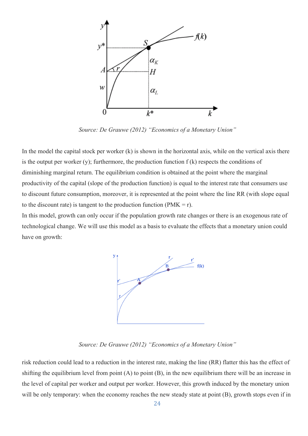

*Source: De Grauwe (2012) "Economics of a Monetary Union"*

In the model the capital stock per worker (k) is shown in the horizontal axis, while on the vertical axis there is the output per worker  $(y)$ ; furthermore, the production function  $f(k)$  respects the conditions of diminishing marginal return. The equilibrium condition is obtained at the point where the marginal productivity of the capital (slope of the production function) is equal to the interest rate that consumers use to discount future consumption, moreover, it is represented at the point where the line RR (with slope equal to the discount rate) is tangent to the production function ( $PMK = r$ ).

In this model, growth can only occur if the population growth rate changes or there is an exogenous rate of technological change. We will use this model as a basis to evaluate the effects that a monetary union could have on growth:



*Source: De Grauwe (2012) "Economics of a Monetary Union"*

risk reduction could lead to a reduction in the interest rate, making the line (RR) flatter this has the effect of shifting the equilibrium level from point (A) to point (B), in the new equilibrium there will be an increase in the level of capital per worker and output per worker. However, this growth induced by the monetary union will be only temporary: when the economy reaches the new steady state at point (B), growth stops even if in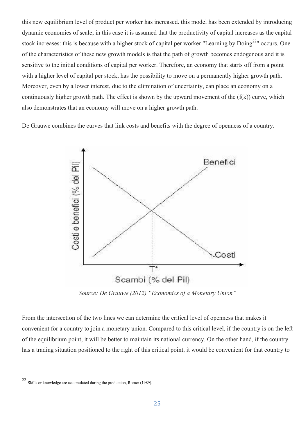this new equilibrium level of product per worker has increased. this model has been extended by introducing dynamic economies of scale; in this case it is assumed that the productivity of capital increases as the capital stock increases: this is because with a higher stock of capital per worker "Learning by Doing<sup>22</sup>" occurs. One of the characteristics of these new growth models is that the path of growth becomes endogenous and it is sensitive to the initial conditions of capital per worker. Therefore, an economy that starts off from a point with a higher level of capital per stock, has the possibility to move on a permanently higher growth path. Moreover, even by a lower interest, due to the elimination of uncertainty, can place an economy on a continuously higher growth path. The effect is shown by the upward movement of the  $(f(k))$  curve, which also demonstrates that an economy will move on a higher growth path.

De Grauwe combines the curves that link costs and benefits with the degree of openness of a country.



*Source: De Grauwe (2012) "Economics of a Monetary Union"*

From the intersection of the two lines we can determine the critical level of openness that makes it convenient for a country to join a monetary union. Compared to this critical level, if the country is on the left of the equilibrium point, it will be better to maintain its national currency. On the other hand, if the country has a trading situation positioned to the right of this critical point, it would be convenient for that country to

 $\overline{a}$ 

<sup>22</sup> Skills or knowledge are accumulated during the production, Romer (1989).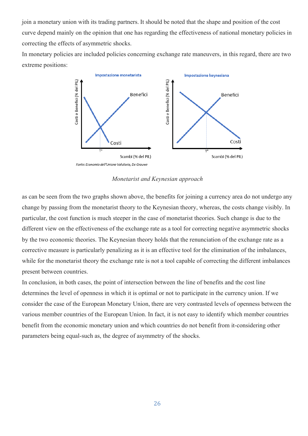join a monetary union with its trading partners. It should be noted that the shape and position of the cost curve depend mainly on the opinion that one has regarding the effectiveness of national monetary policies in correcting the effects of asymmetric shocks.

In monetary policies are included policies concerning exchange rate maneuvers, in this regard, there are two extreme positions:



*Monetarist and Keynesian approach*

as can be seen from the two graphs shown above, the benefits for joining a currency area do not undergo any change by passing from the monetarist theory to the Keynesian theory, whereas, the costs change visibly. In particular, the cost function is much steeper in the case of monetarist theories. Such change is due to the different view on the effectiveness of the exchange rate as a tool for correcting negative asymmetric shocks by the two economic theories. The Keynesian theory holds that the renunciation of the exchange rate as a corrective measure is particularly penalizing as it is an effective tool for the elimination of the imbalances, while for the monetarist theory the exchange rate is not a tool capable of correcting the different imbalances present between countries.

In conclusion, in both cases, the point of intersection between the line of benefits and the cost line determines the level of openness in which it is optimal or not to participate in the currency union. If we consider the case of the European Monetary Union, there are very contrasted levels of openness between the various member countries of the European Union. In fact, it is not easy to identify which member countries benefit from the economic monetary union and which countries do not benefit from it-considering other parameters being equal-such as, the degree of asymmetry of the shocks.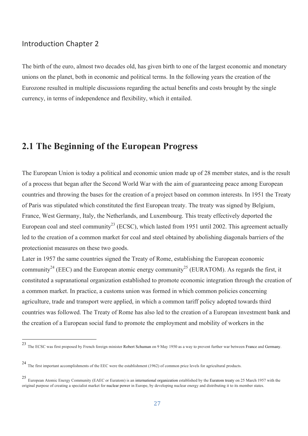#### Introduction Chapter 2

The birth of the euro, almost two decades old, has given birth to one of the largest economic and monetary unions on the planet, both in economic and political terms. In the following years the creation of the Eurozone resulted in multiple discussions regarding the actual benefits and costs brought by the single currency, in terms of independence and flexibility, which it entailed.

# **2.1 The Beginning of the European Progress**

The European Union is today a political and economic union made up of 28 member states, and is the result of a process that began after the Second World War with the aim of guaranteeing peace among European countries and throwing the bases for the creation of a project based on common interests. In 1951 the Treaty of Paris was stipulated which constituted the first European treaty. The treaty was signed by Belgium, France, West Germany, Italy, the Netherlands, and Luxembourg. This treaty effectively deported the European coal and steel community<sup>23</sup> (ECSC), which lasted from 1951 until 2002. This agreement actually led to the creation of a common market for coal and steel obtained by abolishing diagonals barriers of the protectionist measures on these two goods.

Later in 1957 the same countries signed the Treaty of Rome, establishing the European economic community<sup>24</sup> (EEC) and the European atomic energy community<sup>25</sup> (EURATOM). As regards the first, it constituted a supranational organization established to promote economic integration through the creation of a common market. In practice, a customs union was formed in which common policies concerning agriculture, trade and transport were applied, in which a common tariff policy adopted towards third countries was followed. The Treaty of Rome has also led to the creation of a European investment bank and the creation of a European social fund to promote the employment and mobility of workers in the

 <sup>23</sup> The ECSC was first proposed by French foreign minister Robert Schuman on 9 May 1950 as a way to prevent further war between France and Germany.

<sup>24</sup> The first important accomplishments of the EEC were the establishment (1962) of common price levels for agricultural products.

<sup>25</sup> European Atomic Energy Community (EAEC or Euratom) is an international organization established by the Euratom treaty on 25 March 1957 with the original purpose of creating a specialist market for nuclear power in Europe, by developing nuclear energy and distributing it to its member states.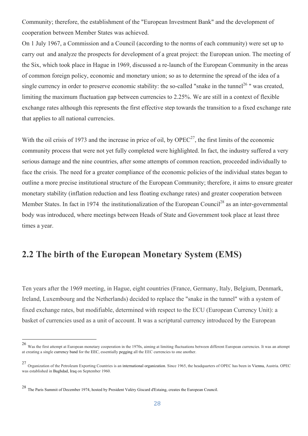Community; therefore, the establishment of the "European Investment Bank" and the development of cooperation between Member States was achieved.

On 1 July 1967, a Commission and a Council (according to the norms of each community) were set up to carry out and analyze the prospects for development of a great project: the European union. The meeting of the Six, which took place in Hague in 1969, discussed a re-launch of the European Community in the areas of common foreign policy, economic and monetary union; so as to determine the spread of the idea of a single currency in order to preserve economic stability: the so-called "snake in the tunnel<sup>26</sup>" was created, limiting the maximum fluctuation gap between currencies to 2.25%. We are still in a context of flexible exchange rates although this represents the first effective step towards the transition to a fixed exchange rate that applies to all national currencies.

With the oil crisis of 1973 and the increase in price of oil, by  $OPEC^{27}$ , the first limits of the economic community process that were not yet fully completed were highlighted. In fact, the industry suffered a very serious damage and the nine countries, after some attempts of common reaction, proceeded individually to face the crisis. The need for a greater compliance of the economic policies of the individual states began to outline a more precise institutional structure of the European Community; therefore, it aims to ensure greater monetary stability (inflation reduction and less floating exchange rates) and greater cooperation between Member States. In fact in 1974 the institutionalization of the European Council<sup>28</sup> as an inter-governmental body was introduced, where meetings between Heads of State and Government took place at least three times a year.

# **2.2 The birth of the European Monetary System (EMS)**

Ten years after the 1969 meeting, in Hague, eight countries (France, Germany, Italy, Belgium, Denmark, Ireland, Luxembourg and the Netherlands) decided to replace the "snake in the tunnel" with a system of fixed exchange rates, but modifiable, determined with respect to the ECU (European Currency Unit): a basket of currencies used as a unit of account. It was a scriptural currency introduced by the European

 <sup>26</sup> Was the first attempt at European monetary cooperation in the 1970s, aiming at limiting fluctuations between different European currencies. It was an attempt at creating a single currency band for the EEC, essentially pegging all the EEC currencies to one another.

<sup>&</sup>lt;sup>27</sup> Organization of the Petroleum Exporting Countries is an international organization. Since 1965, the headquarters of OPEC has been in Vienna, Austria. OPEC was established in Baghdad, Iraq on September 1960.

<sup>28</sup> The Paris Summit of December 1974, hosted by President Valéry Giscard d'Estaing, creates the European Council.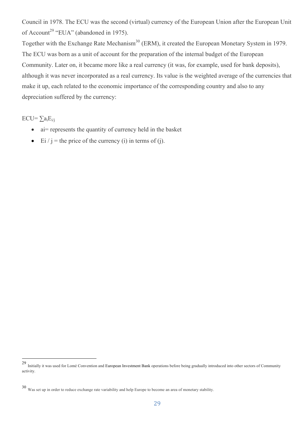Council in 1978. The ECU was the second (virtual) currency of the European Union after the European Unit of Account<sup>29</sup> "EUA" (abandoned in 1975).

Together with the Exchange Rate Mechanism<sup>30</sup> (ERM), it created the European Monetary System in 1979. The ECU was born as a unit of account for the preparation of the internal budget of the European Community. Later on, it became more like a real currency (it was, for example, used for bank deposits), although it was never incorporated as a real currency. Its value is the weighted average of the currencies that make it up, each related to the economic importance of the corresponding country and also to any depreciation suffered by the currency:

 $ECU=\sum a_iE_{i/i}$ 

- ai= represents the quantity of currency held in the basket
- Ei / j = the price of the currency (i) in terms of (j).

 <sup>29</sup> Initially it was used for Lomé Convention and European Investment Bank operations before being gradually introduced into other sectors of Community activity.

<sup>30</sup> Was set up in order to reduce exchange rate variability and help Europe to become an area of monetary stability.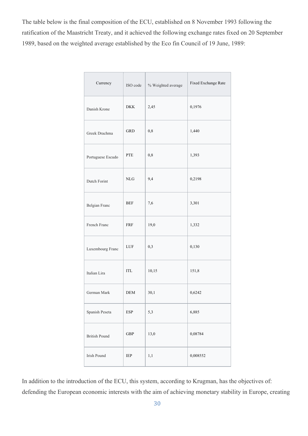The table below is the final composition of the ECU, established on 8 November 1993 following the ratification of the Maastricht Treaty, and it achieved the following exchange rates fixed on 20 September 1989, based on the weighted average established by the Eco fin Council of 19 June, 1989:

| Currency             | ISO code                           | % Weighted average | Fixed Exchange Rate |
|----------------------|------------------------------------|--------------------|---------------------|
| Danish Krone         | <b>DKK</b>                         | 2,45               | 0,1976              |
| Greek Drachma        | <b>GRD</b>                         | $_{\rm 0,8}$       | 1,440               |
| Portuguese Escudo    | PTE                                | $_{\rm 0,8}$       | 1,393               |
| Dutch Forint         | <b>NLG</b>                         | 9,4                | 0,2198              |
| Belgian Franc        | <b>BEF</b>                         | $7,6$              | 3,301               |
| French Franc         | FRF                                | 19,0               | 1,332               |
| Luxembourg Franc     | LUF                                | 0,3                | 0,130               |
| Italian Lira         | ITL                                | 10,15              | 151,8               |
| German Mark          | DEM                                | 30,1               | 0,6242              |
| Spanish Peseta       | $\ensuremath{\mathrm{ESP}}\xspace$ | 5,3                | 6,885               |
| <b>British Pound</b> | <b>GBP</b>                         | 13,0               | 0,08784             |
| Irish Pound          | IEP                                | 1,1                | 0,008552            |

In addition to the introduction of the ECU, this system, according to Krugman, has the objectives of: defending the European economic interests with the aim of achieving monetary stability in Europe, creating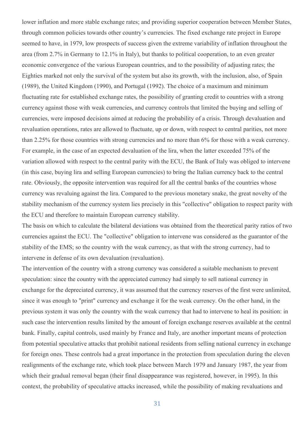lower inflation and more stable exchange rates; and providing superior cooperation between Member States, through common policies towards other country's currencies. The fixed exchange rate project in Europe seemed to have, in 1979, low prospects of success given the extreme variability of inflation throughout the area (from 2.7% in Germany to 12.1% in Italy), but thanks to political cooperation, to an even greater economic convergence of the various European countries, and to the possibility of adjusting rates; the Eighties marked not only the survival of the system but also its growth, with the inclusion, also, of Spain (1989), the United Kingdom (1990), and Portugal (1992). The choice of a maximum and minimum fluctuating rate for established exchange rates, the possibility of granting credit to countries with a strong currency against those with weak currencies, and currency controls that limited the buying and selling of currencies, were imposed decisions aimed at reducing the probability of a crisis. Through devaluation and revaluation operations, rates are allowed to fluctuate, up or down, with respect to central parities, not more than 2.25% for those countries with strong currencies and no more than 6% for those with a weak currency. For example, in the case of an expected devaluation of the lira, when the latter exceeded 75% of the variation allowed with respect to the central parity with the ECU, the Bank of Italy was obliged to intervene (in this case, buying lira and selling European currencies) to bring the Italian currency back to the central rate. Obviously, the opposite intervention was required for all the central banks of the countries whose currency was revaluing against the lira. Compared to the previous monetary snake, the great novelty of the stability mechanism of the currency system lies precisely in this "collective" obligation to respect parity with the ECU and therefore to maintain European currency stability.

The basis on which to calculate the bilateral deviations was obtained from the theoretical parity ratios of two currencies against the ECU. The "collective" obligation to intervene was considered as the guarantor of the stability of the EMS; so the country with the weak currency, as that with the strong currency, had to intervene in defense of its own devaluation (revaluation).

The intervention of the country with a strong currency was considered a suitable mechanism to prevent speculation: since the country with the appreciated currency had simply to sell national currency in exchange for the depreciated currency, it was assumed that the currency reserves of the first were unlimited, since it was enough to "print" currency and exchange it for the weak currency. On the other hand, in the previous system it was only the country with the weak currency that had to intervene to heal its position: in such case the intervention results limited by the amount of foreign exchange reserves available at the central bank. Finally, capital controls, used mainly by France and Italy, are another important means of protection from potential speculative attacks that prohibit national residents from selling national currency in exchange for foreign ones. These controls had a great importance in the protection from speculation during the eleven realignments of the exchange rate, which took place between March 1979 and January 1987, the year from which their gradual removal began (their final disappearance was registered, however, in 1995). In this context, the probability of speculative attacks increased, while the possibility of making revaluations and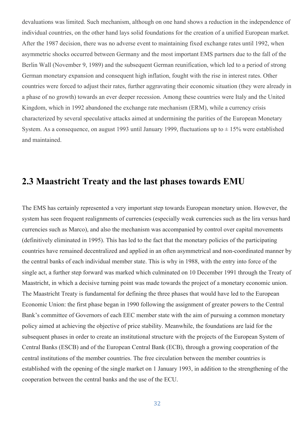devaluations was limited. Such mechanism, although on one hand shows a reduction in the independence of individual countries, on the other hand lays solid foundations for the creation of a unified European market. After the 1987 decision, there was no adverse event to maintaining fixed exchange rates until 1992, when asymmetric shocks occurred between Germany and the most important EMS partners due to the fall of the Berlin Wall (November 9, 1989) and the subsequent German reunification, which led to a period of strong German monetary expansion and consequent high inflation, fought with the rise in interest rates. Other countries were forced to adjust their rates, further aggravating their economic situation (they were already in a phase of no growth) towards an ever deeper recession. Among these countries were Italy and the United Kingdom, which in 1992 abandoned the exchange rate mechanism (ERM), while a currency crisis characterized by several speculative attacks aimed at undermining the parities of the European Monetary System. As a consequence, on august 1993 until January 1999, fluctuations up to  $\pm$  15% were established and maintained.

### **2.3 Maastricht Treaty and the last phases towards EMU**

The EMS has certainly represented a very important step towards European monetary union. However, the system has seen frequent realignments of currencies (especially weak currencies such as the lira versus hard currencies such as Marco), and also the mechanism was accompanied by control over capital movements (definitively eliminated in 1995). This has led to the fact that the monetary policies of the participating countries have remained decentralized and applied in an often asymmetrical and non-coordinated manner by the central banks of each individual member state. This is why in 1988, with the entry into force of the single act, a further step forward was marked which culminated on 10 December 1991 through the Treaty of Maastricht, in which a decisive turning point was made towards the project of a monetary economic union. The Maastricht Treaty is fundamental for defining the three phases that would have led to the European Economic Union: the first phase began in 1990 following the assignment of greater powers to the Central Bank's committee of Governors of each EEC member state with the aim of pursuing a common monetary policy aimed at achieving the objective of price stability. Meanwhile, the foundations are laid for the subsequent phases in order to create an institutional structure with the projects of the European System of Central Banks (ESCB) and of the European Central Bank (ECB), through a growing cooperation of the central institutions of the member countries. The free circulation between the member countries is established with the opening of the single market on 1 January 1993, in addition to the strengthening of the cooperation between the central banks and the use of the ECU.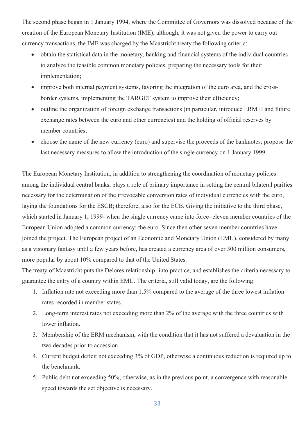The second phase began in 1 January 1994, where the Committee of Governors was dissolved because of the creation of the European Monetary Institution (IME); although, it was not given the power to carry out currency transactions, the IME was charged by the Maastricht treaty the following criteria:

- obtain the statistical data in the monetary, banking and financial systems of the individual countries to analyze the feasible common monetary policies, preparing the necessary tools for their implementation;
- improve both internal payment systems, favoring the integration of the euro area, and the crossborder systems, implementing the TARGET system to improve their efficiency;
- outline the organization of foreign exchange transactions (in particular, introduce ERM II and future exchange rates between the euro and other currencies) and the holding of official reserves by member countries;
- choose the name of the new currency (euro) and supervise the proceeds of the banknotes; propose the last necessary measures to allow the introduction of the single currency on 1 January 1999.

The European Monetary Institution, in addition to strengthening the coordination of monetary policies among the individual central banks, plays a role of primary importance in setting the central bilateral parities necessary for the determination of the irrevocable conversion rates of individual currencies with the euro, laying the foundations for the ESCB; therefore, also for the ECB. Giving the initiative to the third phase, which started in January 1, 1999- when the single currency came into force- eleven member countries of the European Union adopted a common currency: the euro. Since then other seven member countries have joined the project. The European project of an Economic and Monetary Union (EMU), considered by many as a visionary fantasy until a few years before, has created a currency area of over 300 million consumers, more popular by about 10% compared to that of the United States.

The treaty of Maastricht puts the Delores relationship<sup>1</sup> into practice, and establishes the criteria necessary to guarantee the entry of a country within EMU. The criteria, still valid today, are the following:

- 1. Inflation rate not exceeding more than 1.5% compared to the average of the three lowest inflation rates recorded in member states.
- 2. Long-term interest rates not exceeding more than 2% of the average with the three countries with lower inflation.
- 3. Membership of the ERM mechanism, with the condition that it has not suffered a devaluation in the two decades prior to accession.
- 4. Current budget deficit not exceeding 3% of GDP, otherwise a continuous reduction is required up to the benchmark.
- 5. Public debt not exceeding 50%, otherwise, as in the previous point, a convergence with reasonable speed towards the set objective is necessary.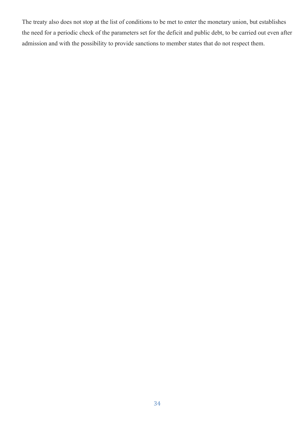The treaty also does not stop at the list of conditions to be met to enter the monetary union, but establishes the need for a periodic check of the parameters set for the deficit and public debt, to be carried out even after admission and with the possibility to provide sanctions to member states that do not respect them.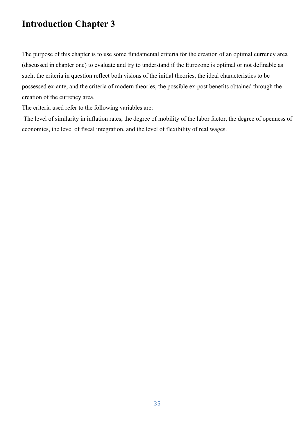# **Introduction Chapter 3**

The purpose of this chapter is to use some fundamental criteria for the creation of an optimal currency area (discussed in chapter one) to evaluate and try to understand if the Eurozone is optimal or not definable as such, the criteria in question reflect both visions of the initial theories, the ideal characteristics to be possessed ex-ante, and the criteria of modern theories, the possible ex-post benefits obtained through the creation of the currency area.

The criteria used refer to the following variables are:

The level of similarity in inflation rates, the degree of mobility of the labor factor, the degree of openness of economies, the level of fiscal integration, and the level of flexibility of real wages.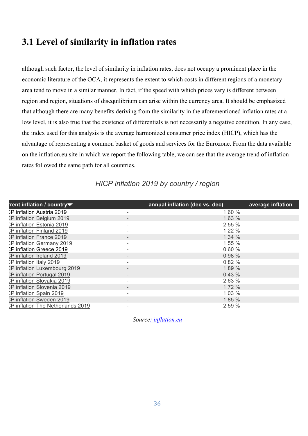### **3.1 Level of similarity in inflation rates**

although such factor, the level of similarity in inflation rates, does not occupy a prominent place in the economic literature of the OCA, it represents the extent to which costs in different regions of a monetary area tend to move in a similar manner. In fact, if the speed with which prices vary is different between region and region, situations of disequilibrium can arise within the currency area. It should be emphasized that although there are many benefits deriving from the similarity in the aforementioned inflation rates at a low level, it is also true that the existence of differentials is not necessarily a negative condition. In any case, the index used for this analysis is the average harmonized consumer price index (HICP), which has the advantage of representing a common basket of goods and services for the Eurozone. From the data available on the inflation.eu site in which we report the following table, we can see that the average trend of inflation rates followed the same path for all countries.

| rent inflation / country $\blacktriangledown$ | annual inflation (dec vs. dec) | average inflation |
|-----------------------------------------------|--------------------------------|-------------------|
| >P inflation Austria 2019                     | 1.60 %                         |                   |
| <b>CP</b> inflation Belgium 2019              | 1.63 %                         |                   |
| >P inflation Estonia 2019                     | 2.55%                          |                   |
| <b>CP</b> inflation Finland 2019              | 1.22%                          |                   |
| <b>CP</b> inflation France 2019               | 1.34%                          |                   |
| <b>CP</b> inflation Germany 2019              | 1.55%                          |                   |
| >P inflation Greece 2019                      | 0.60%                          |                   |
| <b>CP</b> inflation Ireland 2019              | 0.98%                          |                   |
| <b>P</b> inflation Italy 2019                 | 0.82%                          |                   |
| <b>CP</b> inflation Luxembourg 2019           | 1.89 %                         |                   |
| <b>CP</b> inflation Portugal 2019             | 0.43%                          |                   |
| <b>P</b> inflation Slovakia 2019              | 2.63%                          |                   |
| <b>CP</b> inflation Slovenia 2019             | 1.72%                          |                   |
| CP inflation Spain 2019                       | 1.03 %                         |                   |
| <b>P inflation Sweden 2019</b>                | 1.85 %                         |                   |
| <b>P</b> inflation The Netherlands 2019       | 2.59 %                         |                   |

#### *HICP inflation 2019 by country / region*

*Source: inflation.eu*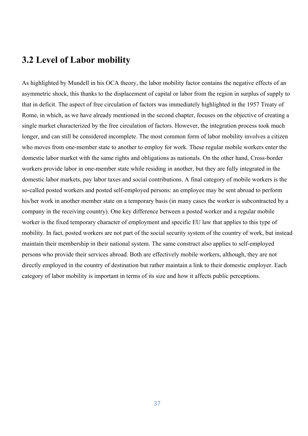#### **3.2 Level of Labor mobility**

As highlighted by Mundell in his OCA theory, the labor mobility factor contains the negative effects of an asymmetric shock, this thanks to the displacement of capital or labor from the region in surplus of supply to that in deficit. The aspect of free circulation of factors was immediately highlighted in the 1957 Treaty of Rome, in which, as we have already mentioned in the second chapter, focuses on the objective of creating a single market characterized by the free circulation of factors. However, the integration process took much longer, and can still be considered incomplete. The most common form of labor mobility involves a citizen who moves from one-member state to another to employ for work. These regular mobile workers enter the domestic labor market with the same rights and obligations as nationals. On the other hand, Cross-border workers provide labor in one-member state while residing in another, but they are fully integrated in the domestic labor markets, pay labor taxes and social contributions. A final category of mobile workers is the so-called posted workers and posted self-employed persons: an employee may be sent abroad to perform his/her work in another member state on a temporary basis (in many cases the worker is subcontracted by a company in the receiving country). One key difference between a posted worker and a regular mobile worker is the fixed temporary character of employment and specific EU law that applies to this type of mobility. In fact, posted workers are not part of the social security system of the country of work, but instead maintain their membership in their national system. The same construct also applies to self-employed persons who provide their services abroad. Both are effectively mobile workers, although, they are not directly employed in the country of destination but rather maintain a link to their domestic employer. Each category of labor mobility is important in terms of its size and how it affects public perceptions.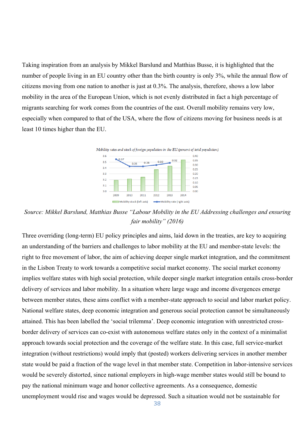Taking inspiration from an analysis by Mikkel Barslund and Matthias Busse, it is highlighted that the number of people living in an EU country other than the birth country is only 3%, while the annual flow of citizens moving from one nation to another is just at 0.3%. The analysis, therefore, shows a low labor mobility in the area of the European Union, which is not evenly distributed in fact a high percentage of migrants searching for work comes from the countries of the east. Overall mobility remains very low, especially when compared to that of the USA, where the flow of citizens moving for business needs is at least 10 times higher than the EU.



*Source: Mikkel Barslund, Matthias Busse "Labour Mobility in the EU Addressing challenges and ensuring fair mobility" (2016)*

Three overriding (long-term) EU policy principles and aims, laid down in the treaties, are key to acquiring an understanding of the barriers and challenges to labor mobility at the EU and member-state levels: the right to free movement of labor, the aim of achieving deeper single market integration, and the commitment in the Lisbon Treaty to work towards a competitive social market economy. The social market economy implies welfare states with high social protection, while deeper single market integration entails cross-border delivery of services and labor mobility. In a situation where large wage and income divergences emerge between member states, these aims conflict with a member-state approach to social and labor market policy. National welfare states, deep economic integration and generous social protection cannot be simultaneously attained. This has been labelled the 'social trilemma'. Deep economic integration with unrestricted crossborder delivery of services can co-exist with autonomous welfare states only in the context of a minimalist approach towards social protection and the coverage of the welfare state. In this case, full service-market integration (without restrictions) would imply that (posted) workers delivering services in another member state would be paid a fraction of the wage level in that member state. Competition in labor-intensive services would be severely distorted, since national employers in high-wage member states would still be bound to pay the national minimum wage and honor collective agreements. As a consequence, domestic unemployment would rise and wages would be depressed. Such a situation would not be sustainable for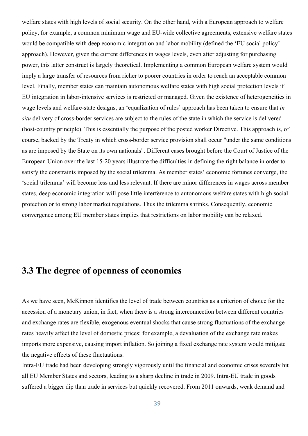welfare states with high levels of social security. On the other hand, with a European approach to welfare policy, for example, a common minimum wage and EU-wide collective agreements, extensive welfare states would be compatible with deep economic integration and labor mobility (defined the 'EU social policy' approach). However, given the current differences in wages levels, even after adjusting for purchasing power, this latter construct is largely theoretical. Implementing a common European welfare system would imply a large transfer of resources from richer to poorer countries in order to reach an acceptable common level. Finally, member states can maintain autonomous welfare states with high social protection levels if EU integration in labor-intensive services is restricted or managed. Given the existence of heterogeneities in wage levels and welfare-state designs, an 'equalization of rules' approach has been taken to ensure that *in situ* delivery of cross-border services are subject to the rules of the state in which the service is delivered (host-country principle). This is essentially the purpose of the posted worker Directive. This approach is, of course, backed by the Treaty in which cross-border service provision shall occur "under the same conditions as are imposed by the State on its own nationals". Different cases brought before the Court of Justice of the European Union over the last 15-20 years illustrate the difficulties in defining the right balance in order to satisfy the constraints imposed by the social trilemma. As member states' economic fortunes converge, the 'social trilemma' will become less and less relevant. If there are minor differences in wages across member states, deep economic integration will pose little interference to autonomous welfare states with high social protection or to strong labor market regulations. Thus the trilemma shrinks. Consequently, economic convergence among EU member states implies that restrictions on labor mobility can be relaxed.

# **3.3 The degree of openness of economies**

As we have seen, McKinnon identifies the level of trade between countries as a criterion of choice for the accession of a monetary union, in fact, when there is a strong interconnection between different countries and exchange rates are flexible, exogenous eventual shocks that cause strong fluctuations of the exchange rates heavily affect the level of domestic prices: for example, a devaluation of the exchange rate makes imports more expensive, causing import inflation. So joining a fixed exchange rate system would mitigate the negative effects of these fluctuations.

Intra-EU trade had been developing strongly vigorously until the financial and economic crises severely hit all EU Member States and sectors, leading to a sharp decline in trade in 2009. Intra-EU trade in goods suffered a bigger dip than trade in services but quickly recovered. From 2011 onwards, weak demand and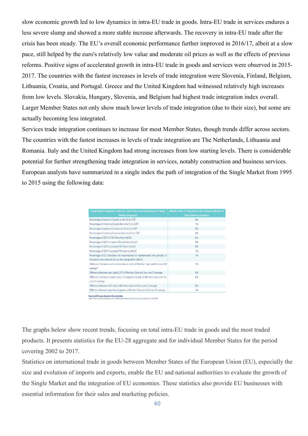slow economic growth led to low dynamics in intra-EU trade in goods. Intra-EU trade in services endures a less severe slump and showed a more stable increase afterwards. The recovery in intra-EU trade after the crisis has been steady. The EU's overall economic performance further improved in 2016/17, albeit at a slow pace, still helped by the euro's relatively low value and moderate oil prices as well as the effects of previous reforms. Positive signs of accelerated growth in intra-EU trade in goods and services were observed in 2015- 2017. The countries with the fastest increases in levels of trade integration were Slovenia, Finland, Belgium, Lithuania, Croatia, and Portugal. Greece and the United Kingdom had witnessed relatively high increases from low levels. Slovakia, Hungary, Slovenia, and Belgium had highest trade integration index overall. Larger Member States not only show much lower levels of trade integration (due to their size), but some are actually becoming less integrated.

Services trade integration continues to increase for most Member States, though trends differ across sectors. The countries with the fastest increases in levels of trade integration are The Netherlands, Lithuania and Romania. Italy and the United Kingdom had strong increases from low starting levels. There is considerable potential for further strengthening trade integration in services, notably construction and business services. European analysts have summarized in a single index the path of integration of the Single Market from 1995 to 2015 using the following data:

| Percentage of exports of goods to the EU to GDP<br>Percentage of imports of goods from the EU to GDP | 8%<br>7%<br>8% |
|------------------------------------------------------------------------------------------------------|----------------|
|                                                                                                      |                |
|                                                                                                      |                |
| Percentage of exports of services to the EU to GDP                                                   |                |
| Percentage of imports of services from the EU to GDP                                                 | 8%             |
| Percentage of GDP of FDI inflow from the EU                                                          | 8%             |
| Percentage of GDP of inward FDI stock from the EU                                                    | 9%             |
| Percentage of GDP of outward FDI flow to the EU                                                      | 8%             |
| Percentage of GDP of outward FDI stock to the EU                                                     | 7%             |
| Percentage of EU Directives not implemented or implemented only partially or                         | 7%             |
| incorrectly into national law (i.e. the transposition deficit)                                       |                |
| Difference between unit nominal labour costs of Member State and the core EU<br>average*             | 7%             |
| Difference between per capita GDP of Member State and the core EU average                            | 6%             |
| Difference between interest rates of long-term bonds of Member State and the<br>core EU average      | 6%             |
| Difference between VAT rates of Member State and the core EU average                                 | 8%             |
| Difference between purchasing power in Member State and the core EU average                          | 3%             |

**Source: Le Europe, pasea on Eurostat aata.**<br>Note: The EU core comprises the 15 Member States at the time of completion of the SMF

The graphs below show recent trends, focusing on total intra-EU trade in goods and the most traded products. It presents statistics for the EU-28 aggregate and for individual Member States for the period covering 2002 to 2017.

Statistics on international trade in goods between Member States of the European Union (EU), especially the size and evolution of imports and exports, enable the EU and national authorities to evaluate the growth of the Single Market and the integration of EU economies. These statistics also provide EU businesses with essential information for their sales and marketing policies.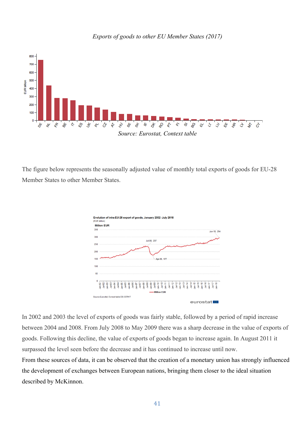

*Exports of goods to other EU Member States (2017)*

The figure below represents the seasonally adjusted value of monthly total exports of goods for EU-28 Member States to other Member States.



In 2002 and 2003 the level of exports of goods was fairly stable, followed by a period of rapid increase between 2004 and 2008. From July 2008 to May 2009 there was a sharp decrease in the value of exports of goods. Following this decline, the value of exports of goods began to increase again. In August 2011 it surpassed the level seen before the decrease and it has continued to increase until now. From these sources of data, it can be observed that the creation of a monetary union has strongly influenced the development of exchanges between European nations, bringing them closer to the ideal situation described by McKinnon.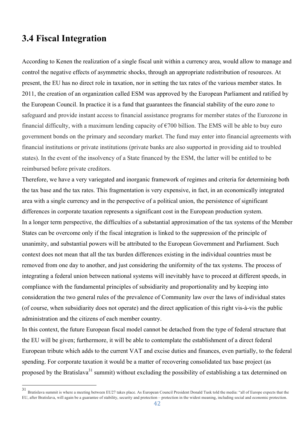# **3.4 Fiscal Integration**

According to Kenen the realization of a single fiscal unit within a currency area, would allow to manage and control the negative effects of asymmetric shocks, through an appropriate redistribution of resources. At present, the EU has no direct role in taxation, nor in setting the tax rates of the various member states. In 2011, the creation of an organization called ESM was approved by the European Parliament and ratified by the European Council. In practice it is a fund that guarantees the financial stability of the euro zone to safeguard and provide instant access to financial assistance programs for member states of the Eurozone in financial difficulty, with a maximum lending capacity of  $\epsilon$ 700 billion. The EMS will be able to buy euro government bonds on the primary and secondary market. The fund may enter into financial agreements with financial institutions or private institutions (private banks are also supported in providing aid to troubled states). In the event of the insolvency of a State financed by the ESM, the latter will be entitled to be reimbursed before private creditors.

Therefore, we have a very variegated and inorganic framework of regimes and criteria for determining both the tax base and the tax rates. This fragmentation is very expensive, in fact, in an economically integrated area with a single currency and in the perspective of a political union, the persistence of significant differences in corporate taxation represents a significant cost in the European production system. In a longer term perspective, the difficulties of a substantial approximation of the tax systems of the Member States can be overcome only if the fiscal integration is linked to the suppression of the principle of unanimity, and substantial powers will be attributed to the European Government and Parliament. Such context does not mean that all the tax burden differences existing in the individual countries must be removed from one day to another, and just considering the uniformity of the tax systems. The process of integrating a federal union between national systems will inevitably have to proceed at different speeds, in compliance with the fundamental principles of subsidiarity and proportionality and by keeping into consideration the two general rules of the prevalence of Community law over the laws of individual states (of course, when subsidiarity does not operate) and the direct application of this right vis-à-vis the public administration and the citizens of each member country.

In this context, the future European fiscal model cannot be detached from the type of federal structure that the EU will be given; furthermore, it will be able to contemplate the establishment of a direct federal European tribute which adds to the current VAT and excise duties and finances, even partially, to the federal spending. For corporate taxation it would be a matter of recovering consolidated tax base project (as proposed by the Bratislava<sup>31</sup> summit) without excluding the possibility of establishing a tax determined on

 <sup>31</sup> Bratislava summit is where a meeting between EU27 takes place. As European Council President Donald Tusk told the media: "all of Europe expects that the EU, after Bratislava, will again be a guarantee of stability, security and protection – protection in the widest meaning, including social and economic protection.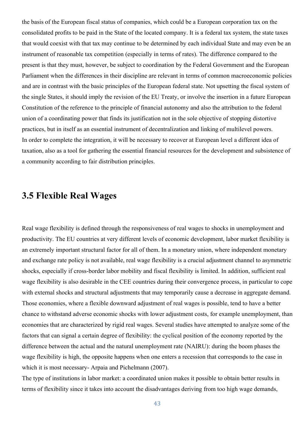the basis of the European fiscal status of companies, which could be a European corporation tax on the consolidated profits to be paid in the State of the located company. It is a federal tax system, the state taxes that would coexist with that tax may continue to be determined by each individual State and may even be an instrument of reasonable tax competition (especially in terms of rates). The difference compared to the present is that they must, however, be subject to coordination by the Federal Government and the European Parliament when the differences in their discipline are relevant in terms of common macroeconomic policies and are in contrast with the basic principles of the European federal state. Not upsetting the fiscal system of the single States, it should imply the revision of the EU Treaty, or involve the insertion in a future European Constitution of the reference to the principle of financial autonomy and also the attribution to the federal union of a coordinating power that finds its justification not in the sole objective of stopping distortive practices, but in itself as an essential instrument of decentralization and linking of multilevel powers. In order to complete the integration, it will be necessary to recover at European level a different idea of taxation, also as a tool for gathering the essential financial resources for the development and subsistence of a community according to fair distribution principles.

#### **3.5 Flexible Real Wages**

Real wage flexibility is defined through the responsiveness of real wages to shocks in unemployment and productivity. The EU countries at very different levels of economic development, labor market flexibility is an extremely important structural factor for all of them. In a monetary union, where independent monetary and exchange rate policy is not available, real wage flexibility is a crucial adjustment channel to asymmetric shocks, especially if cross-border labor mobility and fiscal flexibility is limited. In addition, sufficient real wage flexibility is also desirable in the CEE countries during their convergence process, in particular to cope with external shocks and structural adjustments that may temporarily cause a decrease in aggregate demand. Those economies, where a flexible downward adjustment of real wages is possible, tend to have a better chance to withstand adverse economic shocks with lower adjustment costs, for example unemployment, than economies that are characterized by rigid real wages. Several studies have attempted to analyze some of the factors that can signal a certain degree of flexibility: the cyclical position of the economy reported by the difference between the actual and the natural unemployment rate (NAIRU): during the boom phases the wage flexibility is high, the opposite happens when one enters a recession that corresponds to the case in which it is most necessary- Arpaia and Pichelmann (2007).

The type of institutions in labor market: a coordinated union makes it possible to obtain better results in terms of flexibility since it takes into account the disadvantages deriving from too high wage demands,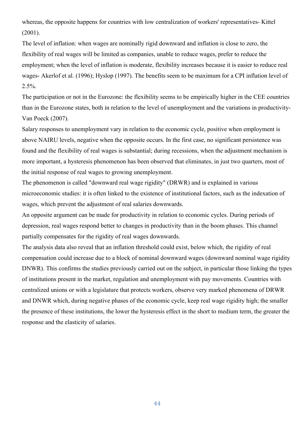whereas, the opposite happens for countries with low centralization of workers' representatives- Kittel (2001).

The level of inflation: when wages are nominally rigid downward and inflation is close to zero, the flexibility of real wages will be limited as companies, unable to reduce wages, prefer to reduce the employment; when the level of inflation is moderate, flexibility increases because it is easier to reduce real wages- Akerlof et al. (1996); Hyslop (1997). The benefits seem to be maximum for a CPI inflation level of 2.5%.

The participation or not in the Eurozone: the flexibility seems to be empirically higher in the CEE countries than in the Eurozone states, both in relation to the level of unemployment and the variations in productivity-Van Poeck (2007).

Salary responses to unemployment vary in relation to the economic cycle, positive when employment is above NAIRU levels, negative when the opposite occurs. In the first case, no significant persistence was found and the flexibility of real wages is substantial; during recessions, when the adjustment mechanism is more important, a hysteresis phenomenon has been observed that eliminates, in just two quarters, most of the initial response of real wages to growing unemployment.

The phenomenon is called "downward real wage rigidity" (DRWR) and is explained in various microeconomic studies: it is often linked to the existence of institutional factors, such as the indexation of wages, which prevent the adjustment of real salaries downwards.

An opposite argument can be made for productivity in relation to economic cycles. During periods of depression, real wages respond better to changes in productivity than in the boom phases. This channel partially compensates for the rigidity of real wages downwards.

The analysis data also reveal that an inflation threshold could exist, below which, the rigidity of real compensation could increase due to a block of nominal downward wages (downward nominal wage rigidity DNWR). This confirms the studies previously carried out on the subject, in particular those linking the types of institutions present in the market, regulation and unemployment with pay movements. Countries with centralized unions or with a legislature that protects workers, observe very marked phenomena of DRWR and DNWR which, during negative phases of the economic cycle, keep real wage rigidity high; the smaller the presence of these institutions, the lower the hysteresis effect in the short to medium term, the greater the response and the elasticity of salaries.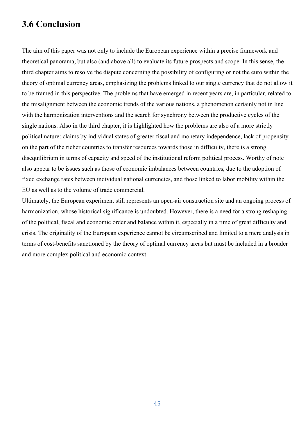# **3.6 Conclusion**

The aim of this paper was not only to include the European experience within a precise framework and theoretical panorama, but also (and above all) to evaluate its future prospects and scope. In this sense, the third chapter aims to resolve the dispute concerning the possibility of configuring or not the euro within the theory of optimal currency areas, emphasizing the problems linked to our single currency that do not allow it to be framed in this perspective. The problems that have emerged in recent years are, in particular, related to the misalignment between the economic trends of the various nations, a phenomenon certainly not in line with the harmonization interventions and the search for synchrony between the productive cycles of the single nations. Also in the third chapter, it is highlighted how the problems are also of a more strictly political nature: claims by individual states of greater fiscal and monetary independence, lack of propensity on the part of the richer countries to transfer resources towards those in difficulty, there is a strong disequilibrium in terms of capacity and speed of the institutional reform political process. Worthy of note also appear to be issues such as those of economic imbalances between countries, due to the adoption of fixed exchange rates between individual national currencies, and those linked to labor mobility within the EU as well as to the volume of trade commercial.

Ultimately, the European experiment still represents an open-air construction site and an ongoing process of harmonization, whose historical significance is undoubted. However, there is a need for a strong reshaping of the political, fiscal and economic order and balance within it, especially in a time of great difficulty and crisis. The originality of the European experience cannot be circumscribed and limited to a mere analysis in terms of cost-benefits sanctioned by the theory of optimal currency areas but must be included in a broader and more complex political and economic context.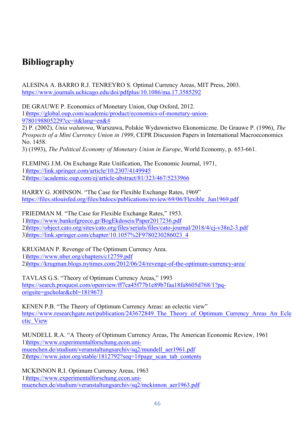# **Bibliography**

ALESINA A. BARRO R.J. TENREYRO S. Optimal Currency Areas, MIT Press, 2003. https://www.journals.uchicago.edu/doi/pdfplus/10.1086/ma.17.3585292

DE GRAUWE P. Economics of Monetary Union, Oup Oxford, 2012. 1)https://global.oup.com/academic/product/economics-of-monetary-union-9780198805229?cc=it&lang=en&#

2) P. (2002), *Unia walutowa*, Warszawa, Polskie Wydawnictwo Ekonomiczne. De Grauwe P. (1996), *The Prospects of a Mini Currency Union in 1999*, CEPR Discussion Papers in International Macroeconomics No. 1458.

3) (1993), *The Political Economy of Monetary Union in Europe*, World Economy, p. 653-661.

FLEMING J.M. On Exchange Rate Unification, The Economic Journal, 1971, 1)https://link.springer.com/article/10.2307/4149945 2)https://academic.oup.com/ej/article-abstract/81/323/467/5233966

HARRY G. JOHNSON. "The Case for Flexible Exchange Rates, 1969" https://files.stlouisfed.org/files/htdocs/publications/review/69/06/Flexible\_Jun1969.pdf

FRIEDMAN M. "The Case for Flexible Exchange Rates," 1953. 1)https://www.bankofgreece.gr/BogEkdoseis/Paper2017236.pdf 2)https://object.cato.org/sites/cato.org/files/serials/files/cato-journal/2018/4/cj-v38n2-3.pdf 3)https://link.springer.com/chapter/10.1057%2F9780230286023\_4

KRUGMAN P. Revenge of The Optimum Currency Area. 1)https://www.nber.org/chapters/c12759.pdf 2)https://krugman.blogs.nytimes.com/2012/06/24/revenge-of-the-optimum-currency-area/

TAVLAS G.S. "Theory of Optimum Currency Areas," 1993 https://search.proquest.com/openview/ff7ca45f77b1e89b7faa18fa8605d768/1?pqorigsite=gscholar&cbl=1819673

KENEN P.B. "The Theory of Optimum Currency Areas: an eclectic view" https://www.researchgate.net/publication/243672849\_The\_Theory\_of\_Optimum\_Currency\_Areas\_An\_Ecle ctic\_View

MUNDELL R.A. "A Theory of Optimum Currency Areas, The American Economic Review, 1961 1)https://www.experimentalforschung.econ.unimuenchen.de/studium/veranstaltungsarchiv/sq2/mundell\_aer1961.pdf 2)https://www.jstor.org/stable/1812792?seq=1#page\_scan\_tab\_contents

MCKINNON R.I. Optimum Currency Areas, 1963 1)https://www.experimentalforschung.econ.unimuenchen.de/studium/veranstaltungsarchiv/sq2/mckinnon\_aer1963.pdf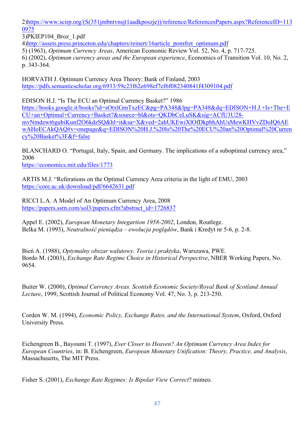2)https://www.scirp.org/(S(351jmbntvnsjt1aadkposzje))/reference/ReferencesPapers.aspx?ReferenceID=113 0975

3)PKIEP104\_Broz\_1.pdf

4)http://assets.press.princeton.edu/chapters/reinert/16article\_pomfret\_optimum.pdf

5) (1963), *Optimum Currency Areas*, American Economic Review Vol. 52, No. 4, p. 717-725.

6) (2002), *Optimum currency areas and the European experience*, Economics of Transition Vol. 10, No. 2, p. 343-364.

HORVATH J. Optimum Currency Area Theory: Bank of Finland, 2003 https://pdfs.semanticscholar.org/6933/59c23f62e698ef7ef6f082340841f4309104.pdf

EDISON H.J. "Is The ECU an Optimal Currency Basket?" 1986

https://books.google.it/books?id=sOtxlGmTxzEC&pg=PA348&lpg=PA348&dq=EDISON+H.J.+Is+The+E CU+an+Optimal+Currency+Basket?&source=bl&ots=QKDbCeLuSK&sig=ACfU3U28 mvNmdzwt6gubiKunf2O6kdzSQ&hl=it&sa=X&ved=2ahUKEwiXlOfDkpbhAhUsMewKHVvZDoIQ6AE wAHoECAkQAQ#v=onepage&q=EDISON%20H.J.%20Is%20The%20ECU%20an%20Optimal%20Curren cy%20Basket%3F&f=false

BLANCHARD O. "Portugal, Italy, Spain, and Germany. The implications of a suboptimal currency area," 2006

https://economics.mit.edu/files/1773

ARTIS M.J. "Referations on the Optimal Currency Area criteria in the light of EMU, 2003 https://core.ac.uk/download/pdf/6642631.pdf

RICCI L.A. A Model of An Optimum Currency Area, 2008 https://papers.ssrn.com/sol3/papers.cfm?abstract\_id=1726837

Appel E. (2002), *European Monetary Integartion 1958-2002*, London, Routlege. Belka M. (1993), *Neutralność pieniądza – ewolucja poglądów*, Bank i Kredyt nr 5-6, p. 2-8.

Bień A. (1988), *Optymalny obszar walutowy. Teoria i praktyka*, Warszawa, PWE. Bordo M. (2003), *Exchange Rate Regime Choice in Historical Perspective*, NBER Working Papers, No. 9654.

Buiter W. (2000), *Optimal Currency Areas. Scottish Economic Society/Royal Bank of Scotland Annual Lecture*, 1999, Scottish Journal of Political Economy Vol. 47, No. 3, p. 213-250.

Corden W. M. (1994), *Economic Policy, Exchange Rates, and the International System*, Oxford, Oxford University Press.

Eichengreen B., Bayoumi T. (1997), *Ever Closer to Heaven? An Optimum Currency Area Index for European Countries*, in: B. Eichengreen, *European Monetary Unification: Theory, Practice, and Analysis*, Massachusetts, The MIT Press.

Fisher S. (2001), *Exchange Rate Regimes: Is Bipolar View Correct*? mimeo.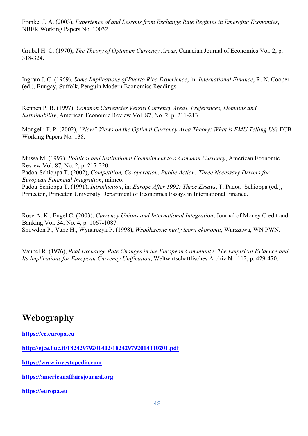Frankel J. A. (2003), *Experience of and Lessons from Exchange Rate Regimes in Emerging Economies*, NBER Working Papers No. 10032.

Grubel H. C. (1970), *The Theory of Optimum Currency Areas*, Canadian Journal of Economics Vol. 2, p. 318-324.

Ingram J. C. (1969), *Some Implications of Puerto Rico Experience*, in: *International Finance*, R. N. Cooper (ed.), Bungay, Suffolk, Penguin Modern Economics Readings.

Kennen P. B. (1997), *Common Currencies Versus Currency Areas. Preferences, Domains and Sustainability*, American Economic Review Vol. 87, No. 2, p. 211-213.

Mongelli F. P. (2002), *"New" Views on the Optimal Currency Area Theory: What is EMU Telling Us*? ECB Working Papers No. 138.

Mussa M. (1997), *Political and Institutional Commitment to a Common Currency*, American Economic Review Vol. 87, No. 2, p. 217-220.

Padoa-Schioppa T. (2002), *Competition, Co-operation, Public Action: Three Necessary Drivers for European Financial Integration*, mimeo.

Padoa-Schioppa T. (1991), *Introduction*, in: *Europe After 1992: Three Essays*, T. Padoa- Schioppa (ed.), Princeton, Princeton University Department of Economics Essays in International Finance.

Rose A. K., Engel C. (2003), *Currency Unions and International Integration*, Journal of Money Credit and Banking Vol. 34, No. 4, p. 1067-1087. Snowdon P., Vane H., Wynarczyk P. (1998), *Współczesne nurty teorii ekonomii*, Warszawa, WN PWN.

Vaubel R. (1976), *Real Exchange Rate Changes in the European Community: The Empirical Evidence and Its Implications for European Currency Unification*, Weltwirtschaftlisches Archiv Nr. 112, p. 429-470.

# **Webography**

**https://ec.europa.eu**

**http://ejce.liuc.it/18242979201402/182429792014110201.pdf**

**https://www.investopedia.com**

**https://americanaffairsjournal.org**

**https://europa.eu**